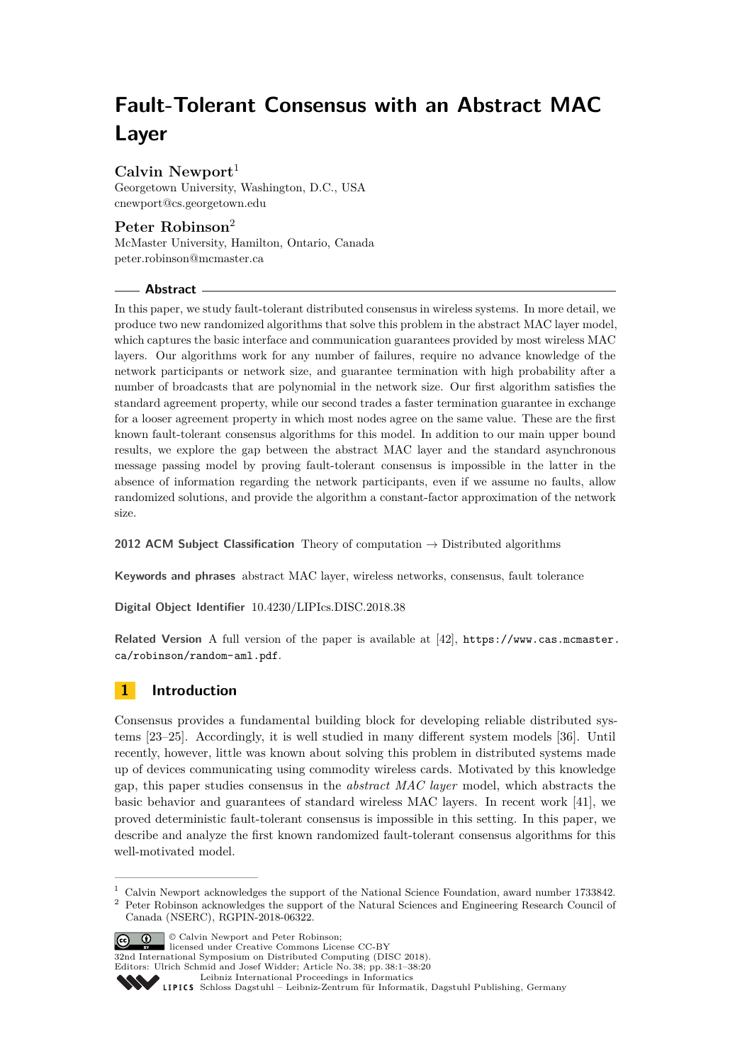# **Fault-Tolerant Consensus with an Abstract MAC Layer**

# **Calvin Newport**<sup>1</sup>

Georgetown University, Washington, D.C., USA [cnewport@cs.georgetown.edu](mailto:cnewport@cs.georgetown.edu)

# **Peter Robinson**<sup>2</sup>

McMaster University, Hamilton, Ontario, Canada [peter.robinson@mcmaster.ca](mailto:peter.robinson@mcmaster.ca)

# **Abstract**

In this paper, we study fault-tolerant distributed consensus in wireless systems. In more detail, we produce two new randomized algorithms that solve this problem in the abstract MAC layer model, which captures the basic interface and communication guarantees provided by most wireless MAC layers. Our algorithms work for any number of failures, require no advance knowledge of the network participants or network size, and guarantee termination with high probability after a number of broadcasts that are polynomial in the network size. Our first algorithm satisfies the standard agreement property, while our second trades a faster termination guarantee in exchange for a looser agreement property in which most nodes agree on the same value. These are the first known fault-tolerant consensus algorithms for this model. In addition to our main upper bound results, we explore the gap between the abstract MAC layer and the standard asynchronous message passing model by proving fault-tolerant consensus is impossible in the latter in the absence of information regarding the network participants, even if we assume no faults, allow randomized solutions, and provide the algorithm a constant-factor approximation of the network size.

**2012 ACM Subject Classification** Theory of computation → Distributed algorithms

**Keywords and phrases** abstract MAC layer, wireless networks, consensus, fault tolerance

**Digital Object Identifier** [10.4230/LIPIcs.DISC.2018.38](https://doi.org/10.4230/LIPIcs.DISC.2018.38)

**Related Version** A full version of the paper is available at [\[42\]](#page-19-0), [https://www.cas.mcmaster.](https://www.cas.mcmaster.ca/robinson/random-aml.pdf) [ca/robinson/random-aml.pdf](https://www.cas.mcmaster.ca/robinson/random-aml.pdf).

# **1 Introduction**

Consensus provides a fundamental building block for developing reliable distributed systems [\[23](#page-18-0)[–25\]](#page-18-1). Accordingly, it is well studied in many different system models [\[36\]](#page-18-2). Until recently, however, little was known about solving this problem in distributed systems made up of devices communicating using commodity wireless cards. Motivated by this knowledge gap, this paper studies consensus in the *abstract MAC layer* model, which abstracts the basic behavior and guarantees of standard wireless MAC layers. In recent work [\[41\]](#page-19-1), we proved deterministic fault-tolerant consensus is impossible in this setting. In this paper, we describe and analyze the first known randomized fault-tolerant consensus algorithms for this well-motivated model.

<sup>&</sup>lt;sup>2</sup> Peter Robinson acknowledges the support of the Natural Sciences and Engineering Research Council of Canada (NSERC), RGPIN-2018-06322.



Editors: Ulrich Schmid and Josef Widder; Article No. 38; pp. 38:1–38[:20](#page-19-2)

[Leibniz International Proceedings in Informatics](http://www.dagstuhl.de/lipics/)



<sup>1</sup> Calvin Newport acknowledges the support of the National Science Foundation, award number 1733842.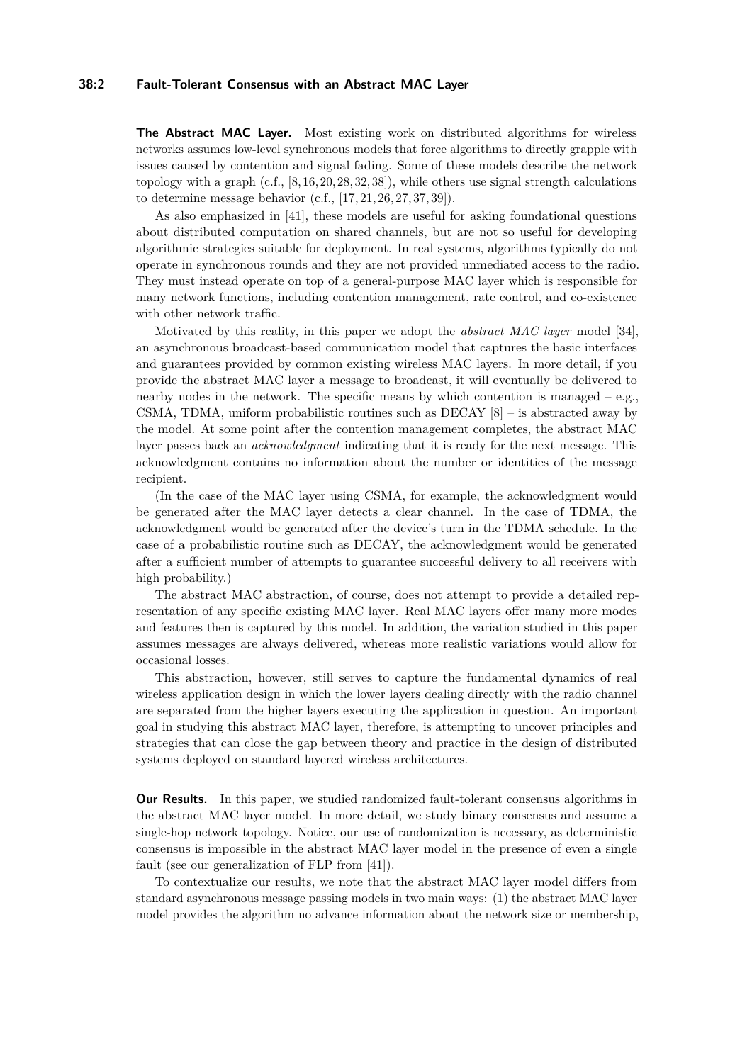## **38:2 Fault-Tolerant Consensus with an Abstract MAC Layer**

**The Abstract MAC Layer.** Most existing work on distributed algorithms for wireless networks assumes low-level synchronous models that force algorithms to directly grapple with issues caused by contention and signal fading. Some of these models describe the network topology with a graph (c.f., [\[8,](#page-17-0) [16,](#page-17-1) [20,](#page-17-2) [28,](#page-18-3) [32,](#page-18-4) [38\]](#page-18-5)), while others use signal strength calculations to determine message behavior (c.f., [\[17,](#page-17-3) [21,](#page-18-6) [26,](#page-18-7) [27,](#page-18-8) [37,](#page-18-9) [39\]](#page-18-10)).

As also emphasized in [\[41\]](#page-19-1), these models are useful for asking foundational questions about distributed computation on shared channels, but are not so useful for developing algorithmic strategies suitable for deployment. In real systems, algorithms typically do not operate in synchronous rounds and they are not provided unmediated access to the radio. They must instead operate on top of a general-purpose MAC layer which is responsible for many network functions, including contention management, rate control, and co-existence with other network traffic.

Motivated by this reality, in this paper we adopt the *abstract MAC layer* model [\[34\]](#page-18-11), an asynchronous broadcast-based communication model that captures the basic interfaces and guarantees provided by common existing wireless MAC layers. In more detail, if you provide the abstract MAC layer a message to broadcast, it will eventually be delivered to nearby nodes in the network. The specific means by which contention is managed  $-e.g.,$ CSMA, TDMA, uniform probabilistic routines such as  $DECAY$  [\[8\]](#page-17-0) – is abstracted away by the model. At some point after the contention management completes, the abstract MAC layer passes back an *acknowledgment* indicating that it is ready for the next message. This acknowledgment contains no information about the number or identities of the message recipient.

(In the case of the MAC layer using CSMA, for example, the acknowledgment would be generated after the MAC layer detects a clear channel. In the case of TDMA, the acknowledgment would be generated after the device's turn in the TDMA schedule. In the case of a probabilistic routine such as DECAY, the acknowledgment would be generated after a sufficient number of attempts to guarantee successful delivery to all receivers with high probability.)

The abstract MAC abstraction, of course, does not attempt to provide a detailed representation of any specific existing MAC layer. Real MAC layers offer many more modes and features then is captured by this model. In addition, the variation studied in this paper assumes messages are always delivered, whereas more realistic variations would allow for occasional losses.

This abstraction, however, still serves to capture the fundamental dynamics of real wireless application design in which the lower layers dealing directly with the radio channel are separated from the higher layers executing the application in question. An important goal in studying this abstract MAC layer, therefore, is attempting to uncover principles and strategies that can close the gap between theory and practice in the design of distributed systems deployed on standard layered wireless architectures.

**Our Results.** In this paper, we studied randomized fault-tolerant consensus algorithms in the abstract MAC layer model. In more detail, we study binary consensus and assume a single-hop network topology. Notice, our use of randomization is necessary, as deterministic consensus is impossible in the abstract MAC layer model in the presence of even a single fault (see our generalization of FLP from [\[41\]](#page-19-1)).

To contextualize our results, we note that the abstract MAC layer model differs from standard asynchronous message passing models in two main ways: (1) the abstract MAC layer model provides the algorithm no advance information about the network size or membership,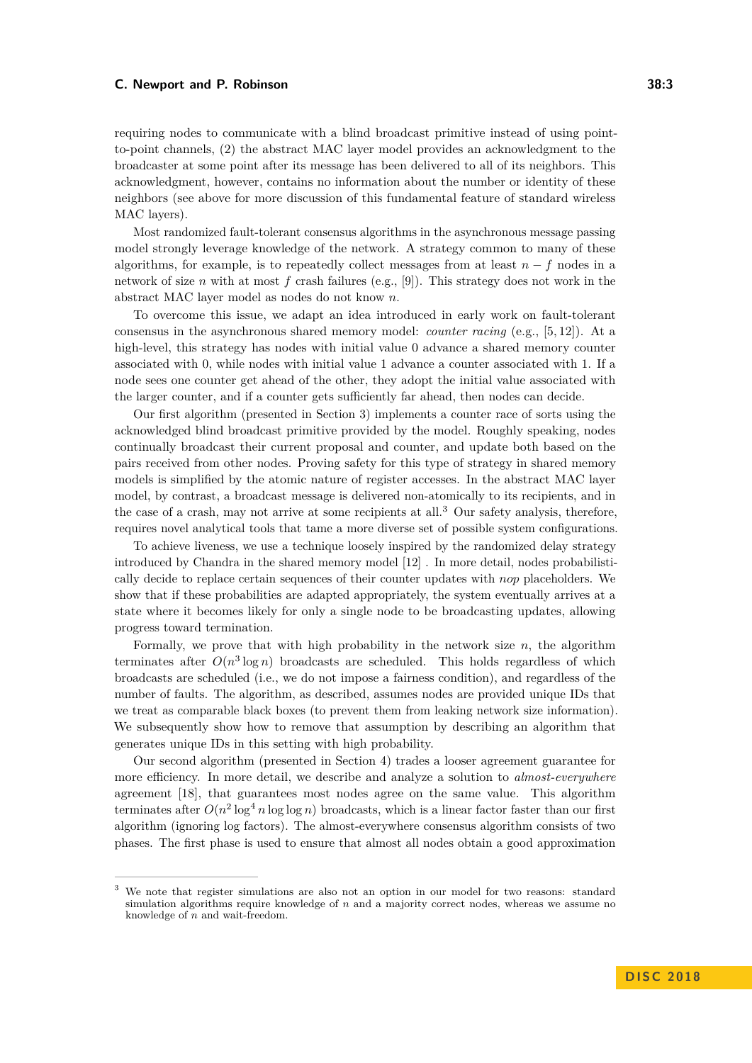requiring nodes to communicate with a blind broadcast primitive instead of using pointto-point channels, (2) the abstract MAC layer model provides an acknowledgment to the broadcaster at some point after its message has been delivered to all of its neighbors. This acknowledgment, however, contains no information about the number or identity of these neighbors (see above for more discussion of this fundamental feature of standard wireless MAC layers).

Most randomized fault-tolerant consensus algorithms in the asynchronous message passing model strongly leverage knowledge of the network. A strategy common to many of these algorithms, for example, is to repeatedly collect messages from at least  $n - f$  nodes in a network of size *n* with at most *f* crash failures (e.g., [\[9\]](#page-17-4)). This strategy does not work in the abstract MAC layer model as nodes do not know *n*.

To overcome this issue, we adapt an idea introduced in early work on fault-tolerant consensus in the asynchronous shared memory model: *counter racing* (e.g., [\[5,](#page-17-5) [12\]](#page-17-6)). At a high-level, this strategy has nodes with initial value 0 advance a shared memory counter associated with 0, while nodes with initial value 1 advance a counter associated with 1. If a node sees one counter get ahead of the other, they adopt the initial value associated with the larger counter, and if a counter gets sufficiently far ahead, then nodes can decide.

Our first algorithm (presented in Section [3\)](#page-7-0) implements a counter race of sorts using the acknowledged blind broadcast primitive provided by the model. Roughly speaking, nodes continually broadcast their current proposal and counter, and update both based on the pairs received from other nodes. Proving safety for this type of strategy in shared memory models is simplified by the atomic nature of register accesses. In the abstract MAC layer model, by contrast, a broadcast message is delivered non-atomically to its recipients, and in the case of a crash, may not arrive at some recipients at all.[3](#page-2-0) Our safety analysis, therefore, requires novel analytical tools that tame a more diverse set of possible system configurations.

To achieve liveness, we use a technique loosely inspired by the randomized delay strategy introduced by Chandra in the shared memory model [\[12\]](#page-17-6) . In more detail, nodes probabilistically decide to replace certain sequences of their counter updates with *nop* placeholders. We show that if these probabilities are adapted appropriately, the system eventually arrives at a state where it becomes likely for only a single node to be broadcasting updates, allowing progress toward termination.

Formally, we prove that with high probability in the network size *n*, the algorithm terminates after  $O(n^3 \log n)$  broadcasts are scheduled. This holds regardless of which broadcasts are scheduled (i.e., we do not impose a fairness condition), and regardless of the number of faults. The algorithm, as described, assumes nodes are provided unique IDs that we treat as comparable black boxes (to prevent them from leaking network size information). We subsequently show how to remove that assumption by describing an algorithm that generates unique IDs in this setting with high probability.

Our second algorithm (presented in Section [4\)](#page-14-0) trades a looser agreement guarantee for more efficiency. In more detail, we describe and analyze a solution to *almost-everywhere* agreement [\[18\]](#page-17-7), that guarantees most nodes agree on the same value. This algorithm terminates after  $O(n^2 \log^4 n \log \log n)$  broadcasts, which is a linear factor faster than our first algorithm (ignoring log factors). The almost-everywhere consensus algorithm consists of two phases. The first phase is used to ensure that almost all nodes obtain a good approximation

<span id="page-2-0"></span><sup>3</sup> We note that register simulations are also not an option in our model for two reasons: standard simulation algorithms require knowledge of *n* and a majority correct nodes, whereas we assume no knowledge of *n* and wait-freedom.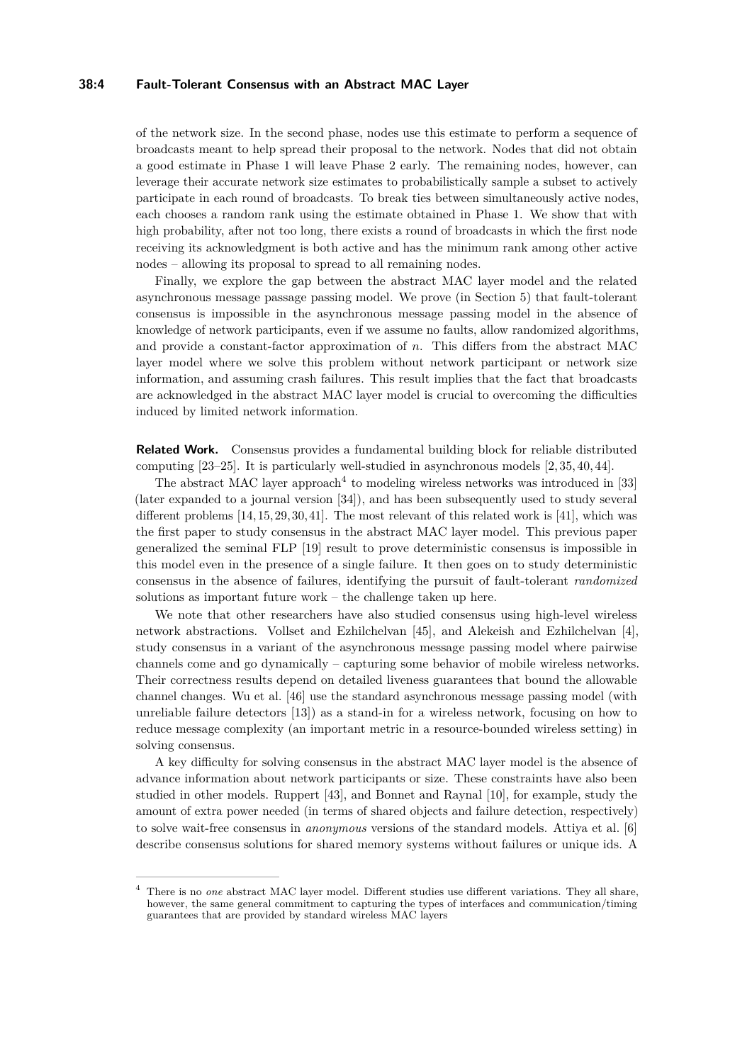## **38:4 Fault-Tolerant Consensus with an Abstract MAC Layer**

of the network size. In the second phase, nodes use this estimate to perform a sequence of broadcasts meant to help spread their proposal to the network. Nodes that did not obtain a good estimate in Phase 1 will leave Phase 2 early. The remaining nodes, however, can leverage their accurate network size estimates to probabilistically sample a subset to actively participate in each round of broadcasts. To break ties between simultaneously active nodes, each chooses a random rank using the estimate obtained in Phase 1. We show that with high probability, after not too long, there exists a round of broadcasts in which the first node receiving its acknowledgment is both active and has the minimum rank among other active nodes – allowing its proposal to spread to all remaining nodes.

Finally, we explore the gap between the abstract MAC layer model and the related asynchronous message passage passing model. We prove (in Section [5\)](#page-15-0) that fault-tolerant consensus is impossible in the asynchronous message passing model in the absence of knowledge of network participants, even if we assume no faults, allow randomized algorithms, and provide a constant-factor approximation of *n*. This differs from the abstract MAC layer model where we solve this problem without network participant or network size information, and assuming crash failures. This result implies that the fact that broadcasts are acknowledged in the abstract MAC layer model is crucial to overcoming the difficulties induced by limited network information.

**Related Work.** Consensus provides a fundamental building block for reliable distributed computing [\[23–](#page-18-0)[25\]](#page-18-1). It is particularly well-studied in asynchronous models [\[2,](#page-17-8) [35,](#page-18-12) [40,](#page-18-13) [44\]](#page-19-3).

The abstract MAC layer approach<sup>[4](#page-3-0)</sup> to modeling wireless networks was introduced in [\[33\]](#page-18-14) (later expanded to a journal version [\[34\]](#page-18-11)), and has been subsequently used to study several different problems [\[14,](#page-17-9) [15,](#page-17-10) [29,](#page-18-15) [30,](#page-18-16) [41\]](#page-19-1). The most relevant of this related work is [\[41\]](#page-19-1), which was the first paper to study consensus in the abstract MAC layer model. This previous paper generalized the seminal FLP [\[19\]](#page-17-11) result to prove deterministic consensus is impossible in this model even in the presence of a single failure. It then goes on to study deterministic consensus in the absence of failures, identifying the pursuit of fault-tolerant *randomized* solutions as important future work – the challenge taken up here.

We note that other researchers have also studied consensus using high-level wireless network abstractions. Vollset and Ezhilchelvan [\[45\]](#page-19-4), and Alekeish and Ezhilchelvan [\[4\]](#page-17-12), study consensus in a variant of the asynchronous message passing model where pairwise channels come and go dynamically – capturing some behavior of mobile wireless networks. Their correctness results depend on detailed liveness guarantees that bound the allowable channel changes. Wu et al. [\[46\]](#page-19-5) use the standard asynchronous message passing model (with unreliable failure detectors [\[13\]](#page-17-13)) as a stand-in for a wireless network, focusing on how to reduce message complexity (an important metric in a resource-bounded wireless setting) in solving consensus.

A key difficulty for solving consensus in the abstract MAC layer model is the absence of advance information about network participants or size. These constraints have also been studied in other models. Ruppert [\[43\]](#page-19-6), and Bonnet and Raynal [\[10\]](#page-17-14), for example, study the amount of extra power needed (in terms of shared objects and failure detection, respectively) to solve wait-free consensus in *anonymous* versions of the standard models. Attiya et al. [\[6\]](#page-17-15) describe consensus solutions for shared memory systems without failures or unique ids. A

<span id="page-3-0"></span>There is no *one* abstract MAC layer model. Different studies use different variations. They all share, however, the same general commitment to capturing the types of interfaces and communication/timing guarantees that are provided by standard wireless MAC layers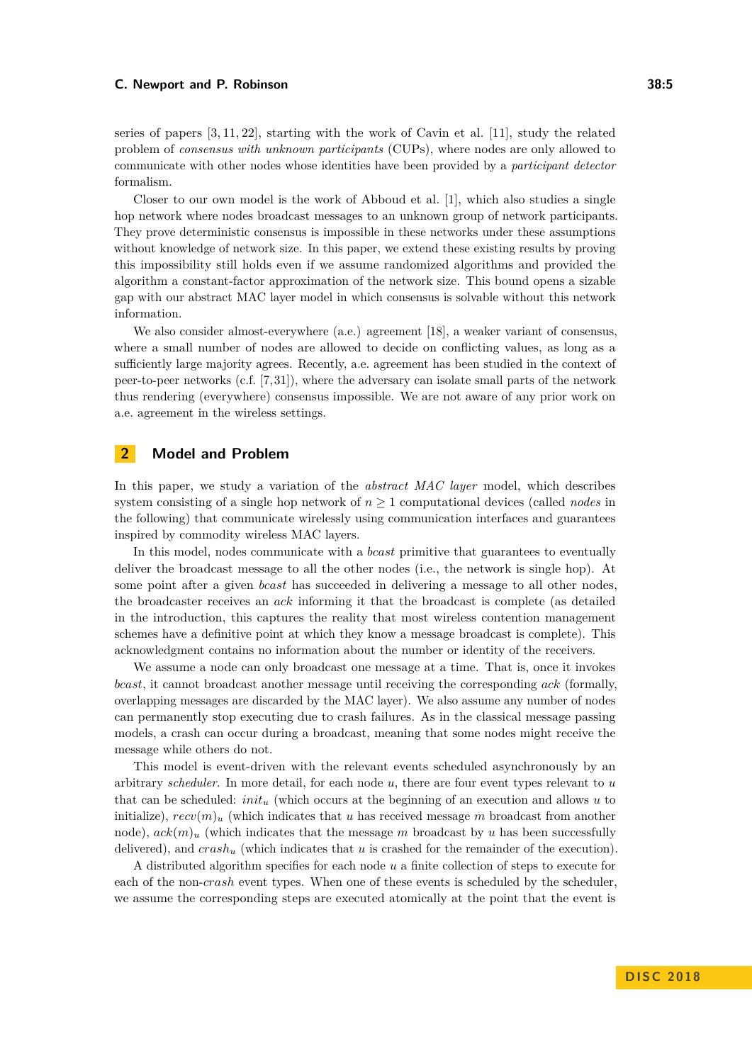series of papers [\[3,](#page-17-16) [11,](#page-17-17) [22\]](#page-18-17), starting with the work of Cavin et al. [\[11\]](#page-17-17), study the related problem of *consensus with unknown participants* (CUPs), where nodes are only allowed to communicate with other nodes whose identities have been provided by a *participant detector* formalism.

Closer to our own model is the work of Abboud et al. [\[1\]](#page-17-18), which also studies a single hop network where nodes broadcast messages to an unknown group of network participants. They prove deterministic consensus is impossible in these networks under these assumptions without knowledge of network size. In this paper, we extend these existing results by proving this impossibility still holds even if we assume randomized algorithms and provided the algorithm a constant-factor approximation of the network size. This bound opens a sizable gap with our abstract MAC layer model in which consensus is solvable without this network information.

We also consider almost-everywhere (a.e.) agreement [\[18\]](#page-17-7), a weaker variant of consensus, where a small number of nodes are allowed to decide on conflicting values, as long as a sufficiently large majority agrees. Recently, a.e. agreement has been studied in the context of peer-to-peer networks (c.f. [\[7,](#page-17-19) [31\]](#page-18-18)), where the adversary can isolate small parts of the network thus rendering (everywhere) consensus impossible. We are not aware of any prior work on a.e. agreement in the wireless settings.

# **2 Model and Problem**

In this paper, we study a variation of the *abstract MAC layer* model, which describes system consisting of a single hop network of  $n \geq 1$  computational devices (called *nodes* in the following) that communicate wirelessly using communication interfaces and guarantees inspired by commodity wireless MAC layers.

In this model, nodes communicate with a *bcast* primitive that guarantees to eventually deliver the broadcast message to all the other nodes (i.e., the network is single hop). At some point after a given *bcast* has succeeded in delivering a message to all other nodes, the broadcaster receives an *ack* informing it that the broadcast is complete (as detailed in the introduction, this captures the reality that most wireless contention management schemes have a definitive point at which they know a message broadcast is complete). This acknowledgment contains no information about the number or identity of the receivers.

We assume a node can only broadcast one message at a time. That is, once it invokes *bcast*, it cannot broadcast another message until receiving the corresponding *ack* (formally, overlapping messages are discarded by the MAC layer). We also assume any number of nodes can permanently stop executing due to crash failures. As in the classical message passing models, a crash can occur during a broadcast, meaning that some nodes might receive the message while others do not.

This model is event-driven with the relevant events scheduled asynchronously by an arbitrary *scheduler*. In more detail, for each node *u*, there are four event types relevant to *u* that can be scheduled: *init<sup>u</sup>* (which occurs at the beginning of an execution and allows *u* to initialize),  $recv(m)$ <sub>u</sub> (which indicates that *u* has received message *m* broadcast from another node),  $ack(m)_u$  (which indicates that the message m broadcast by u has been successfully delivered), and *crash<sup>u</sup>* (which indicates that *u* is crashed for the remainder of the execution).

A distributed algorithm specifies for each node *u* a finite collection of steps to execute for each of the non-*crash* event types. When one of these events is scheduled by the scheduler, we assume the corresponding steps are executed atomically at the point that the event is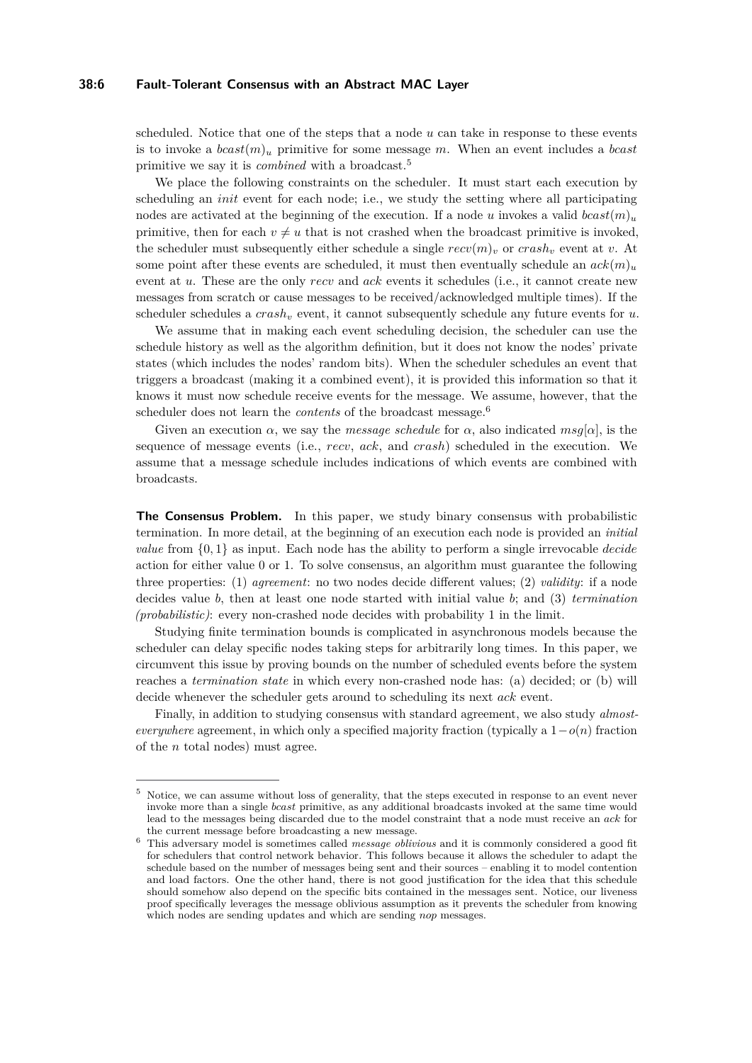#### **38:6 Fault-Tolerant Consensus with an Abstract MAC Layer**

scheduled. Notice that one of the steps that a node *u* can take in response to these events is to invoke a *bcast*(*m*)*<sup>u</sup>* primitive for some message *m*. When an event includes a *bcast* primitive we say it is *combined* with a broadcast.[5](#page-5-0)

We place the following constraints on the scheduler. It must start each execution by scheduling an *init* event for each node; i.e., we study the setting where all participating nodes are activated at the beginning of the execution. If a node *u* invokes a valid *bcast* $(m)_u$ primitive, then for each  $v \neq u$  that is not crashed when the broadcast primitive is invoked, the scheduler must subsequently either schedule a single  $recv(m)_v$  or  $crash_v$  event at v. At some point after these events are scheduled, it must then eventually schedule an  $ack(m)_u$ event at *u*. These are the only *recv* and *ack* events it schedules (i.e., it cannot create new messages from scratch or cause messages to be received/acknowledged multiple times). If the scheduler schedules a *crash<sup>v</sup>* event, it cannot subsequently schedule any future events for *u*.

We assume that in making each event scheduling decision, the scheduler can use the schedule history as well as the algorithm definition, but it does not know the nodes' private states (which includes the nodes' random bits). When the scheduler schedules an event that triggers a broadcast (making it a combined event), it is provided this information so that it knows it must now schedule receive events for the message. We assume, however, that the scheduler does not learn the *contents* of the broadcast message.[6](#page-5-1)

Given an execution  $\alpha$ , we say the *message schedule* for  $\alpha$ , also indicated  $msg[\alpha]$ , is the sequence of message events (i.e., *recv*, *ack*, and *crash*) scheduled in the execution. We assume that a message schedule includes indications of which events are combined with broadcasts.

**The Consensus Problem.** In this paper, we study binary consensus with probabilistic termination. In more detail, at the beginning of an execution each node is provided an *initial value* from {0*,* 1} as input. Each node has the ability to perform a single irrevocable *decide* action for either value 0 or 1. To solve consensus, an algorithm must guarantee the following three properties: (1) *agreement*: no two nodes decide different values; (2) *validity*: if a node decides value *b*, then at least one node started with initial value *b*; and (3) *termination (probabilistic)*: every non-crashed node decides with probability 1 in the limit.

Studying finite termination bounds is complicated in asynchronous models because the scheduler can delay specific nodes taking steps for arbitrarily long times. In this paper, we circumvent this issue by proving bounds on the number of scheduled events before the system reaches a *termination state* in which every non-crashed node has: (a) decided; or (b) will decide whenever the scheduler gets around to scheduling its next *ack* event.

Finally, in addition to studying consensus with standard agreement, we also study *almosteverywhere* agreement, in which only a specified majority fraction (typically a  $1-o(n)$ ) fraction of the *n* total nodes) must agree.

<span id="page-5-0"></span><sup>5</sup> Notice, we can assume without loss of generality, that the steps executed in response to an event never invoke more than a single *bcast* primitive, as any additional broadcasts invoked at the same time would lead to the messages being discarded due to the model constraint that a node must receive an *ack* for the current message before broadcasting a new message.

<span id="page-5-1"></span><sup>6</sup> This adversary model is sometimes called *message oblivious* and it is commonly considered a good fit for schedulers that control network behavior. This follows because it allows the scheduler to adapt the schedule based on the number of messages being sent and their sources – enabling it to model contention and load factors. One the other hand, there is not good justification for the idea that this schedule should somehow also depend on the specific bits contained in the messages sent. Notice, our liveness proof specifically leverages the message oblivious assumption as it prevents the scheduler from knowing which nodes are sending updates and which are sending *nop* messages.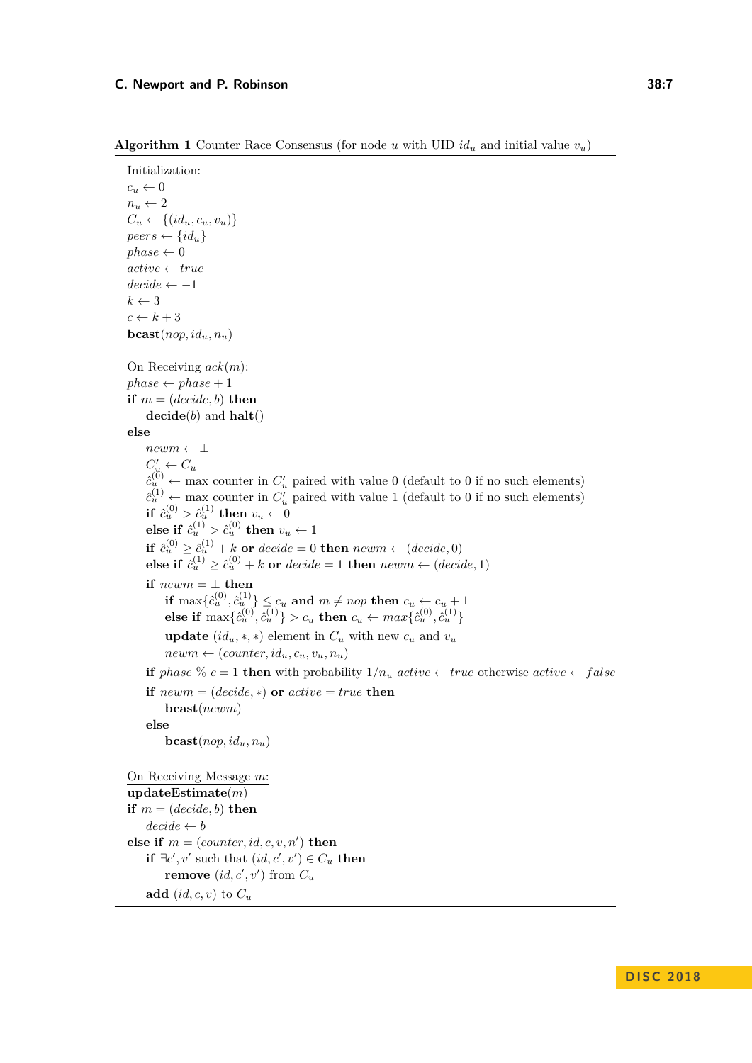**Algorithm 1** Counter Race Consensus (for node *u* with UID  $id_u$  and initial value  $v_u$ )

```
Initialization:
c_u \leftarrow 0n_u \leftarrow 2C_u \leftarrow \{(id_u, c_u, v_u)\}peers \leftarrow \{id_u\}phase \leftarrow 0active ← true
decide \leftarrow -1k \leftarrow 3c \leftarrow k + 3\mathbf{bcast}(nop, id_u, n_u)On Receiving ack(m):
phase \leftarrow phase + 1if m = (decide, b) then
     decide(b) and halt()
else
     newm ← ⊥
     C'_u \leftarrow C_u\hat{c}_{u}^{(0)} \leftarrow max counter in C'_{u} paired with value 0 (default to 0 if no such elements)
     \hat{c}_{u}^{(1)} \leftarrow \text{max} counter in C'_{u} paired with value 1 (default to 0 if no such elements)
     if \hat{c}_u^{(0)} > \hat{c}_u^{(1)} then v_u \leftarrow 0<br>class if \hat{c}_u^{(1)} > \hat{c}_u^{(0)} then u
     else if \hat{c}_u^{(1)} > \hat{c}_u^{(0)} then v_u \leftarrow 1\mathbf{if} \ c_u^{(0)} \geq \hat{c}_u^{(1)} + k \textbf{ or } decide = 0 \textbf{ then } newm \leftarrow (decide, 0)else if \hat{c}_u^{(1)} \ge \hat{c}_u^{(0)} + k or decide = 1 then newm \leftarrow (decide, 1)if newm = \perp then
          \textbf{if } \max\{\hat{c}_u^{(0)}, \hat{c}_u^{(1)}\} \leq c_u \textbf{ and } m \neq nop \textbf{ then } c_u \leftarrow c_u + 1else if \max\{\hat{c}_u^{(0)}, \hat{c}_u^{(1)}\} > c_u then c_u \leftarrow max\{\hat{c}_u^{(0)}, \hat{c}_u^{(1)}\}update (id_u, *, *) element in C_u with new c_u and v_unewm \leftarrow (counter, id_u, c_u, v_u, n_u)if phase \% c = 1 then with probability 1/n_u active \leftarrow true otherwise active \leftarrow falseif newm = (decide, *) or active = true then
          bcast(newm)
     else
          \mathbf{bcast}(nop, id_u, n_u)On Receiving Message m:
updateEstimate(m)
if m = (decide, b) then
     decide \leftarrow belse if m = (counter, id, c, v, n') then
     if \exists c', v' such that (id, c', v') \in C_u then
          remove (id, c', v') from C_uadd (id, c, v) to C_u
```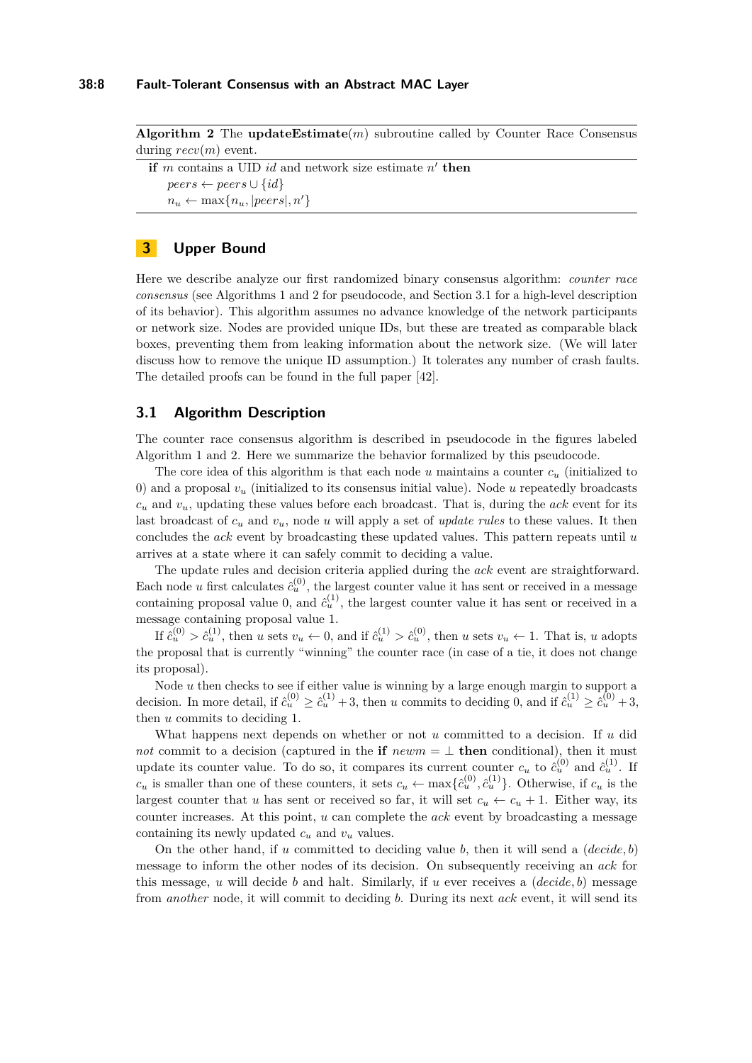**Algorithm 2** The **updateEstimate**(*m*) subroutine called by Counter Race Consensus during *recv*(*m*) event.

```
if m contains a UID id and network size estimate n' then
   peers \leftarrow peers \cup \{id\}n_u \leftarrow \max\{n_u, |peers|, n'\}
```
# <span id="page-7-0"></span>**3 Upper Bound**

Here we describe analyze our first randomized binary consensus algorithm: *counter race consensus* (see Algorithms 1 and 2 for pseudocode, and Section [3.1](#page-7-1) for a high-level description of its behavior). This algorithm assumes no advance knowledge of the network participants or network size. Nodes are provided unique IDs, but these are treated as comparable black boxes, preventing them from leaking information about the network size. (We will later discuss how to remove the unique ID assumption.) It tolerates any number of crash faults. The detailed proofs can be found in the full paper [\[42\]](#page-19-0).

# <span id="page-7-1"></span>**3.1 Algorithm Description**

The counter race consensus algorithm is described in pseudocode in the figures labeled Algorithm 1 and 2. Here we summarize the behavior formalized by this pseudocode.

The core idea of this algorithm is that each node *u* maintains a counter *c<sup>u</sup>* (initialized to 0) and a proposal *v<sup>u</sup>* (initialized to its consensus initial value). Node *u* repeatedly broadcasts  $c<sub>u</sub>$  and  $v<sub>u</sub>$ , updating these values before each broadcast. That is, during the *ack* event for its last broadcast of *c<sup>u</sup>* and *vu*, node *u* will apply a set of *update rules* to these values. It then concludes the *ack* event by broadcasting these updated values. This pattern repeats until *u* arrives at a state where it can safely commit to deciding a value.

The update rules and decision criteria applied during the *ack* event are straightforward. Each node *u* first calculates  $\hat{c}_u^{(0)}$ , the largest counter value it has sent or received in a message containing proposal value 0, and  $\hat{c}_u^{(1)}$ , the largest counter value it has sent or received in a message containing proposal value 1.

If  $\hat{c}_u^{(0)} > \hat{c}_u^{(1)}$ , then u sets  $v_u \leftarrow 0$ , and if  $\hat{c}_u^{(1)} > \hat{c}_u^{(0)}$ , then u sets  $v_u \leftarrow 1$ . That is, u adopts the proposal that is currently "winning" the counter race (in case of a tie, it does not change its proposal).

Node *u* then checks to see if either value is winning by a large enough margin to support a decision. In more detail, if  $\hat{c}_u^{(0)} \geq \hat{c}_u^{(1)} + 3$ , then *u* commits to deciding 0, and if  $\hat{c}_u^{(1)} \geq \hat{c}_u^{(0)} + 3$ , then *u* commits to deciding 1.

What happens next depends on whether or not *u* committed to a decision. If *u* did *not* commit to a decision (captured in the **if**  $newm = \perp$  **then** conditional), then it must update its counter value. To do so, it compares its current counter  $c_u$  to  $\hat{c}_u^{(0)}$  and  $\hat{c}_u^{(1)}$ . If  $c_u$  is smaller than one of these counters, it sets  $c_u \leftarrow \max\{\hat{c}_u^{(0)}, \hat{c}_u^{(1)}\}$ . Otherwise, if  $c_u$  is the largest counter that *u* has sent or received so far, it will set  $c_u \leftarrow c_u + 1$ . Either way, its counter increases. At this point, *u* can complete the *ack* event by broadcasting a message containing its newly updated  $c_u$  and  $v_u$  values.

On the other hand, if *u* committed to deciding value *b*, then it will send a (*decide, b*) message to inform the other nodes of its decision. On subsequently receiving an *ack* for this message, *u* will decide *b* and halt. Similarly, if *u* ever receives a (*decide, b*) message from *another* node, it will commit to deciding *b*. During its next *ack* event, it will send its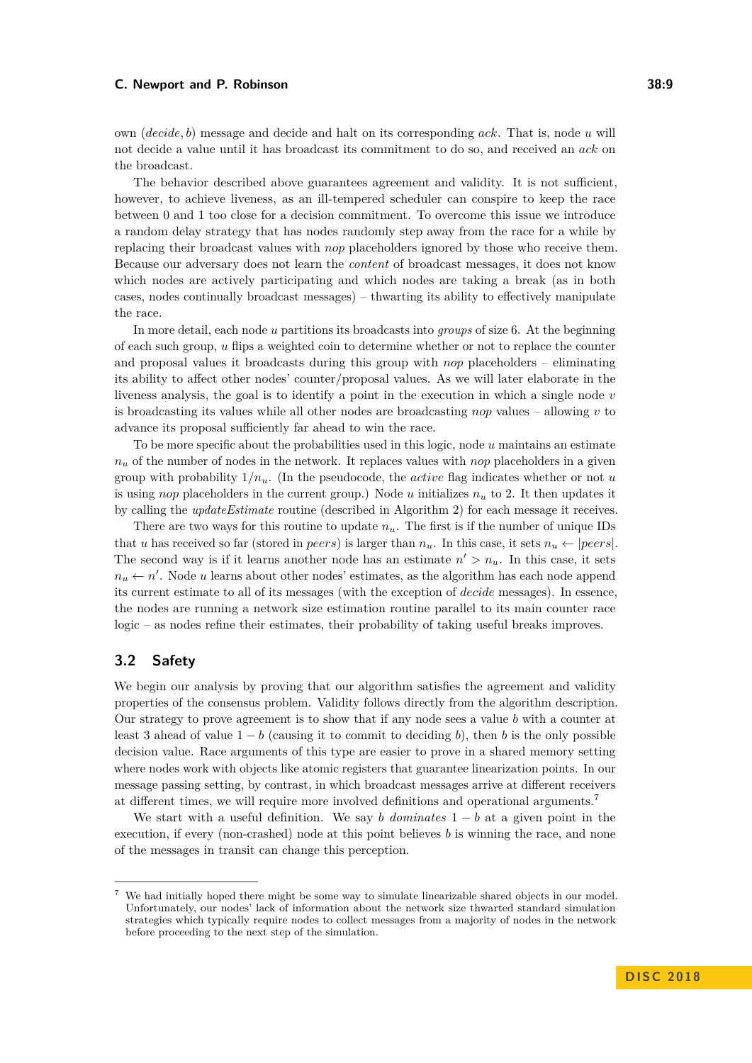own (*decide, b*) message and decide and halt on its corresponding *ack*. That is, node *u* will not decide a value until it has broadcast its commitment to do so, and received an *ack* on the broadcast.

The behavior described above guarantees agreement and validity. It is not sufficient, however, to achieve liveness, as an ill-tempered scheduler can conspire to keep the race between 0 and 1 too close for a decision commitment. To overcome this issue we introduce a random delay strategy that has nodes randomly step away from the race for a while by replacing their broadcast values with *nop* placeholders ignored by those who receive them. Because our adversary does not learn the *content* of broadcast messages, it does not know which nodes are actively participating and which nodes are taking a break (as in both cases, nodes continually broadcast messages) – thwarting its ability to effectively manipulate the race.

In more detail, each node *u* partitions its broadcasts into *groups* of size 6. At the beginning of each such group, *u* flips a weighted coin to determine whether or not to replace the counter and proposal values it broadcasts during this group with *nop* placeholders – eliminating its ability to affect other nodes' counter/proposal values. As we will later elaborate in the liveness analysis, the goal is to identify a point in the execution in which a single node *v* is broadcasting its values while all other nodes are broadcasting *nop* values – allowing *v* to advance its proposal sufficiently far ahead to win the race.

To be more specific about the probabilities used in this logic, node *u* maintains an estimate  $n<sub>u</sub>$  of the number of nodes in the network. It replaces values with *nop* placeholders in a given group with probability  $1/n_u$ . (In the pseudocode, the *active* flag indicates whether or not *u* is using *nop* placeholders in the current group.) Node *u* initializes *n<sup>u</sup>* to 2. It then updates it by calling the *updateEstimate* routine (described in Algorithm 2) for each message it receives.

There are two ways for this routine to update *nu*. The first is if the number of unique IDs that *u* has received so far (stored in *peers*) is larger than  $n_u$ . In this case, it sets  $n_u \leftarrow |peers|$ . The second way is if it learns another node has an estimate  $n' > n_u$ . In this case, it sets  $n_u \leftarrow n'$ . Node *u* learns about other nodes' estimates, as the algorithm has each node append its current estimate to all of its messages (with the exception of *decide* messages). In essence, the nodes are running a network size estimation routine parallel to its main counter race logic – as nodes refine their estimates, their probability of taking useful breaks improves.

# **3.2 Safety**

We begin our analysis by proving that our algorithm satisfies the agreement and validity properties of the consensus problem. Validity follows directly from the algorithm description. Our strategy to prove agreement is to show that if any node sees a value *b* with a counter at least 3 ahead of value  $1 - b$  (causing it to commit to deciding *b*), then *b* is the only possible decision value. Race arguments of this type are easier to prove in a shared memory setting where nodes work with objects like atomic registers that guarantee linearization points. In our message passing setting, by contrast, in which broadcast messages arrive at different receivers at different times, we will require more involved definitions and operational arguments.[7](#page-8-0)

We start with a useful definition. We say *b dominates*  $1 - b$  at a given point in the execution, if every (non-crashed) node at this point believes *b* is winning the race, and none of the messages in transit can change this perception.

<span id="page-8-0"></span><sup>7</sup> We had initially hoped there might be some way to simulate linearizable shared objects in our model. Unfortunately, our nodes' lack of information about the network size thwarted standard simulation strategies which typically require nodes to collect messages from a majority of nodes in the network before proceeding to the next step of the simulation.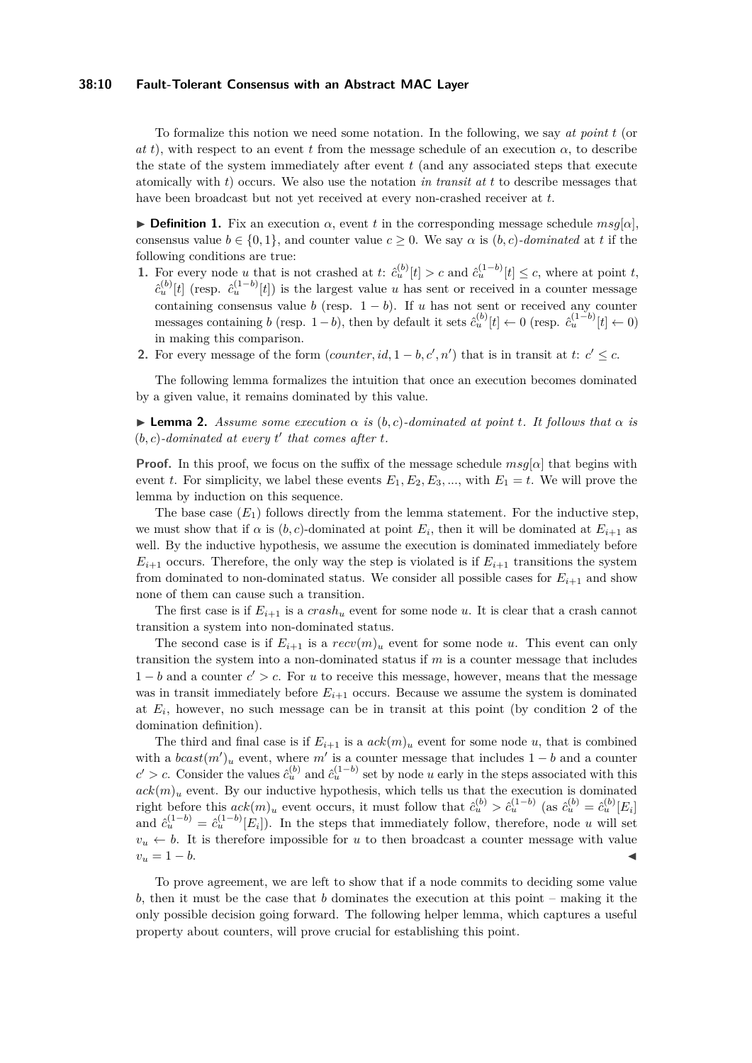#### **38:10 Fault-Tolerant Consensus with an Abstract MAC Layer**

To formalize this notion we need some notation. In the following, we say *at point t* (or *at t*), with respect to an event *t* from the message schedule of an execution  $\alpha$ , to describe the state of the system immediately after event *t* (and any associated steps that execute atomically with *t*) occurs. We also use the notation *in transit at t* to describe messages that have been broadcast but not yet received at every non-crashed receiver at *t*.

**Definition 1.** Fix an execution  $\alpha$ , event t in the corresponding message schedule  $msg[\alpha]$ , consensus value  $b \in \{0, 1\}$ , and counter value  $c \geq 0$ . We say  $\alpha$  is  $(b, c)$ *-dominated* at t if the following conditions are true:

- 1. For every node *u* that is not crashed at *t*:  $\hat{c}_{u}^{(b)}[t] > c$  and  $\hat{c}_{u}^{(1-b)}[t] \leq c$ , where at point *t*,  $\hat{c}_{u}^{(b)}[t]$  (resp.  $\hat{c}_{u}^{(1-b)}[t]$ ) is the largest value *u* has sent or received in a counter message containing consensus value *b* (resp.  $1 - b$ ). If *u* has not sent or received any counter messages containing *b* (resp. 1 – *b*), then by default it sets  $\hat{c}_u^{(b)}[t] \leftarrow 0$  (resp.  $\hat{c}_u^{(1-b)}[t] \leftarrow 0$ ) in making this comparison.
- **2.** For every message of the form  $(counter, id, 1 b, c', n')$  that is in transit at  $t: c' \leq c$ .

The following lemma formalizes the intuition that once an execution becomes dominated by a given value, it remains dominated by this value.

<span id="page-9-0"></span> $\blacktriangleright$  **Lemma 2.** *Assume some execution*  $\alpha$  *is* (*b, c*)*-dominated at point t. It follows that*  $\alpha$  *is*  $(b, c)$ -dominated at every  $t'$  that comes after  $t$ .

**Proof.** In this proof, we focus on the suffix of the message schedule *msg*[*α*] that begins with event *t*. For simplicity, we label these events  $E_1, E_2, E_3, \dots$ , with  $E_1 = t$ . We will prove the lemma by induction on this sequence.

The base case  $(E_1)$  follows directly from the lemma statement. For the inductive step, we must show that if  $\alpha$  is  $(b, c)$ -dominated at point  $E_i$ , then it will be dominated at  $E_{i+1}$  as well. By the inductive hypothesis, we assume the execution is dominated immediately before  $E_{i+1}$  occurs. Therefore, the only way the step is violated is if  $E_{i+1}$  transitions the system from dominated to non-dominated status. We consider all possible cases for  $E_{i+1}$  and show none of them can cause such a transition.

The first case is if  $E_{i+1}$  is a  $crash_u$  event for some node  $u$ . It is clear that a crash cannot transition a system into non-dominated status.

The second case is if  $E_{i+1}$  is a  $recv(m)_u$  event for some node *u*. This event can only transition the system into a non-dominated status if *m* is a counter message that includes  $1 - b$  and a counter  $c' > c$ . For *u* to receive this message, however, means that the message was in transit immediately before  $E_{i+1}$  occurs. Because we assume the system is dominated at  $E_i$ , however, no such message can be in transit at this point (by condition 2 of the domination definition).

The third and final case is if  $E_{i+1}$  is a  $ack(m)_u$  event for some node *u*, that is combined with a  $\text{box}t(m')_u$  event, where  $m'$  is a counter message that includes  $1 - b$  and a counter  $c' > c$ . Consider the values  $\hat{c}_u^{(b)}$  and  $\hat{c}_u^{(1-b)}$  set by node *u* early in the steps associated with this  $ack(m)_u$  event. By our inductive hypothesis, which tells us that the execution is dominated right before this  $ack(m)_u$  event occurs, it must follow that  $\hat{c}_u^{(b)} > \hat{c}_u^{(1-b)}$  (as  $\hat{c}_u^{(b)} = \hat{c}_u^{(b)}[E_i]$ and  $\hat{c}_u^{(1-b)} = \hat{c}_u^{(1-b)}[E_i]$ . In the steps that immediately follow, therefore, node *u* will set  $v<sub>u</sub> \leftarrow b$ . It is therefore impossible for *u* to then broadcast a counter message with value  $v_u = 1 - b.$ 

To prove agreement, we are left to show that if a node commits to deciding some value *b*, then it must be the case that *b* dominates the execution at this point – making it the only possible decision going forward. The following helper lemma, which captures a useful property about counters, will prove crucial for establishing this point.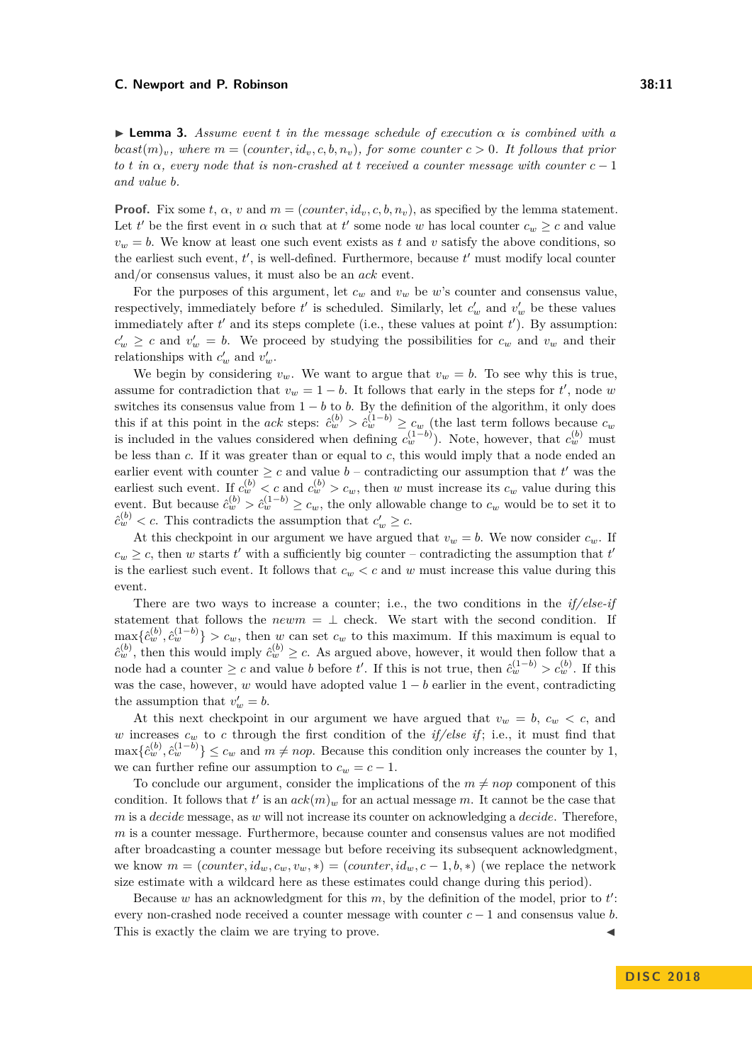<span id="page-10-0"></span>**I Lemma 3.** Assume event *t* in the message schedule of execution  $\alpha$  is combined with a  $\textit{bcast}(m)_v$ , where  $m = (\textit{counter}, id_v, c, b, n_v)$ , for some counter  $c > 0$ . It follows that prior *to t in*  $\alpha$ *, every node that is non-crashed at t received a counter message with counter*  $c - 1$ *and value b.*

**Proof.** Fix some  $t$ ,  $\alpha$ ,  $v$  and  $m = (counter, id_v, c, b, n_v)$ , as specified by the lemma statement. Let *t'* be the first event in  $\alpha$  such that at *t'* some node *w* has local counter  $c_w \geq c$  and value  $v_w = b$ . We know at least one such event exists as *t* and *v* satisfy the above conditions, so the earliest such event,  $t'$ , is well-defined. Furthermore, because  $t'$  must modify local counter and/or consensus values, it must also be an *ack* event.

For the purposes of this argument, let  $c_w$  and  $v_w$  be *w*'s counter and consensus value, respectively, immediately before  $t'$  is scheduled. Similarly, let  $c'_w$  and  $v'_w$  be these values immediately after  $t'$  and its steps complete (i.e., these values at point  $t'$ ). By assumption:  $c'_w \geq c$  and  $v'_w = b$ . We proceed by studying the possibilities for  $c_w$  and  $v_w$  and their relationships with  $c'_w$  and  $v'_w$ .

We begin by considering  $v_w$ . We want to argue that  $v_w = b$ . To see why this is true, assume for contradiction that  $v_w = 1 - b$ . It follows that early in the steps for *t'*, node *w* switches its consensus value from  $1 - b$  to *b*. By the definition of the algorithm, it only does this if at this point in the *ack* steps:  $\hat{c}_w^{(b)} > \hat{c}_w^{(1-b)} \geq c_w$  (the last term follows because  $c_w$ is included in the values considered when defining  $c_w^{(1-b)}$ ). Note, however, that  $c_w^{(b)}$  must be less than *c*. If it was greater than or equal to *c*, this would imply that a node ended an earlier event with counter  $\geq c$  and value  $b$  – contradicting our assumption that  $t'$  was the earliest such event. If  $c_w^{(b)} < c$  and  $c_w^{(b)} > c_w$ , then *w* must increase its  $c_w$  value during this event. But because  $\hat{c}_w^{(b)} > \hat{c}_w^{(1-b)} \ge c_w$ , the only allowable change to  $c_w$  would be to set it to  $\hat{c}_w^{(b)} < c$ . This contradicts the assumption that  $c'_w \geq c$ .

At this checkpoint in our argument we have argued that  $v_w = b$ . We now consider  $c_w$ . If  $c_w \geq c$ , then *w* starts *t*' with a sufficiently big counter – contradicting the assumption that *t*' is the earliest such event. It follows that  $c_w < c$  and  $w$  must increase this value during this event.

There are two ways to increase a counter; i.e., the two conditions in the *if/else-if* statement that follows the  $newm = \perp$  check. We start with the second condition. If  $\max\{\hat{c}_w^{(b)},\hat{c}_w^{(1-b)}\} > c_w$ , then *w* can set  $c_w$  to this maximum. If this maximum is equal to  $\hat{c}_{w}^{(b)}$ , then this would imply  $\hat{c}_{w}^{(b)} \geq c$ . As argued above, however, it would then follow that a node had a counter  $\geq c$  and value *b* before *t'*. If this is not true, then  $\hat{c}_w^{(1-b)} > c_w^{(b)}$ . If this was the case, however, *w* would have adopted value  $1 - b$  earlier in the event, contradicting the assumption that  $v'_w = b$ .

At this next checkpoint in our argument we have argued that  $v_w = b$ ,  $c_w < c$ , and *w* increases  $c_w$  to *c* through the first condition of the *if/else if*; i.e., it must find that  $\max\{\hat{c}_w^{(b)}, \hat{c}_w^{(1-b)}\} \leq c_w$  and  $m \neq nop$ . Because this condition only increases the counter by 1, we can further refine our assumption to  $c_w = c - 1$ .

To conclude our argument, consider the implications of the  $m \neq n \text{op}$  component of this condition. It follows that  $t'$  is an  $ack(m)_w$  for an actual message *m*. It cannot be the case that *m* is a *decide* message, as *w* will not increase its counter on acknowledging a *decide*. Therefore, *m* is a counter message. Furthermore, because counter and consensus values are not modified after broadcasting a counter message but before receiving its subsequent acknowledgment, we know  $m = (counter, id_w, c_w, v_w, *) = (counter, id_w, c - 1, b, *)$  (we replace the network size estimate with a wildcard here as these estimates could change during this period).

Because  $w$  has an acknowledgment for this  $m$ , by the definition of the model, prior to  $t'$ : every non-crashed node received a counter message with counter *c* − 1 and consensus value *b*. This is exactly the claim we are trying to prove.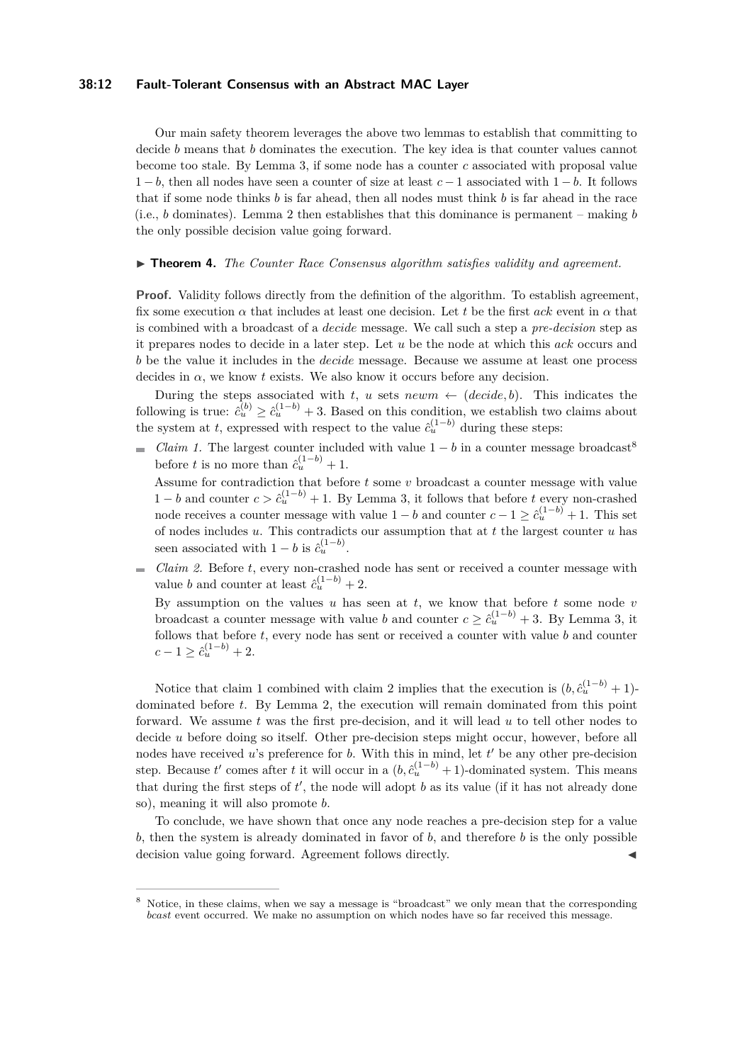#### **38:12 Fault-Tolerant Consensus with an Abstract MAC Layer**

Our main safety theorem leverages the above two lemmas to establish that committing to decide *b* means that *b* dominates the execution. The key idea is that counter values cannot become too stale. By Lemma [3,](#page-10-0) if some node has a counter *c* associated with proposal value 1 − *b*, then all nodes have seen a counter of size at least *c* − 1 associated with 1 − *b*. It follows that if some node thinks *b* is far ahead, then all nodes must think *b* is far ahead in the race (i.e., *b* dominates). Lemma [2](#page-9-0) then establishes that this dominance is permanent – making *b* the only possible decision value going forward.

#### ▶ **Theorem 4.** *The Counter Race Consensus algorithm satisfies validity and agreement.*

**Proof.** Validity follows directly from the definition of the algorithm. To establish agreement, fix some execution  $\alpha$  that includes at least one decision. Let *t* be the first  $ack$  event in  $\alpha$  that is combined with a broadcast of a *decide* message. We call such a step a *pre-decision* step as it prepares nodes to decide in a later step. Let *u* be the node at which this *ack* occurs and *b* be the value it includes in the *decide* message. Because we assume at least one process decides in  $\alpha$ , we know *t* exists. We also know it occurs before any decision.

During the steps associated with *t*, *u* sets *newm*  $\leftarrow$  (*decide, b*). This indicates the following is true:  $\hat{c}_u^{(b)} \geq \hat{c}_u^{(1-b)} + 3$ . Based on this condition, we establish two claims about the system at *t*, expressed with respect to the value  $\hat{c}_u^{(1-b)}$  during these steps:

*Claim 1.* The largest counter included with value  $1 - b$  in a counter message broadcast<sup>[8](#page-11-0)</sup> before *t* is no more than  $\hat{c}_u^{(1-b)} + 1$ .

Assume for contradiction that before *t* some *v* broadcast a counter message with value 1 − *b* and counter  $c > \hat{c}_u^{(1-b)} + 1$ . By Lemma [3,](#page-10-0) it follows that before *t* every non-crashed node receives a counter message with value  $1 - b$  and counter  $c - 1 \geq c_u^{(1-b)} + 1$ . This set of nodes includes *u*. This contradicts our assumption that at *t* the largest counter *u* has seen associated with  $1 - b$  is  $\hat{c}_u^{(1-b)}$ .

*Claim 2.* Before *t*, every non-crashed node has sent or received a counter message with  $\overline{a}$ value *b* and counter at least  $\hat{c}_u^{(1-b)} + 2$ .

By assumption on the values *u* has seen at *t*, we know that before *t* some node *v* broadcast a counter message with value *b* and counter  $c \geq \hat{c}_u^{(1-b)} + 3$ . By Lemma [3,](#page-10-0) it follows that before *t*, every node has sent or received a counter with value *b* and counter  $c - 1 \geq \hat{c}_u^{(1-b)} + 2.$ 

Notice that claim 1 combined with claim 2 implies that the execution is  $(b, \hat{c}_u^{(1-b)} + 1)$ dominated before *t*. By Lemma [2,](#page-9-0) the execution will remain dominated from this point forward. We assume *t* was the first pre-decision, and it will lead *u* to tell other nodes to decide *u* before doing so itself. Other pre-decision steps might occur, however, before all nodes have received  $u$ 's preference for  $b$ . With this in mind, let  $t'$  be any other pre-decision step. Because  $t'$  comes after  $t$  it will occur in a  $(b, \hat{c}_u^{(1-b)} + 1)$ -dominated system. This means that during the first steps of  $t'$ , the node will adopt  $b$  as its value (if it has not already done so), meaning it will also promote *b*.

To conclude, we have shown that once any node reaches a pre-decision step for a value *b*, then the system is already dominated in favor of *b*, and therefore *b* is the only possible decision value going forward. Agreement follows directly.

<span id="page-11-0"></span>Notice, in these claims, when we say a message is "broadcast" we only mean that the corresponding *bcast* event occurred. We make no assumption on which nodes have so far received this message.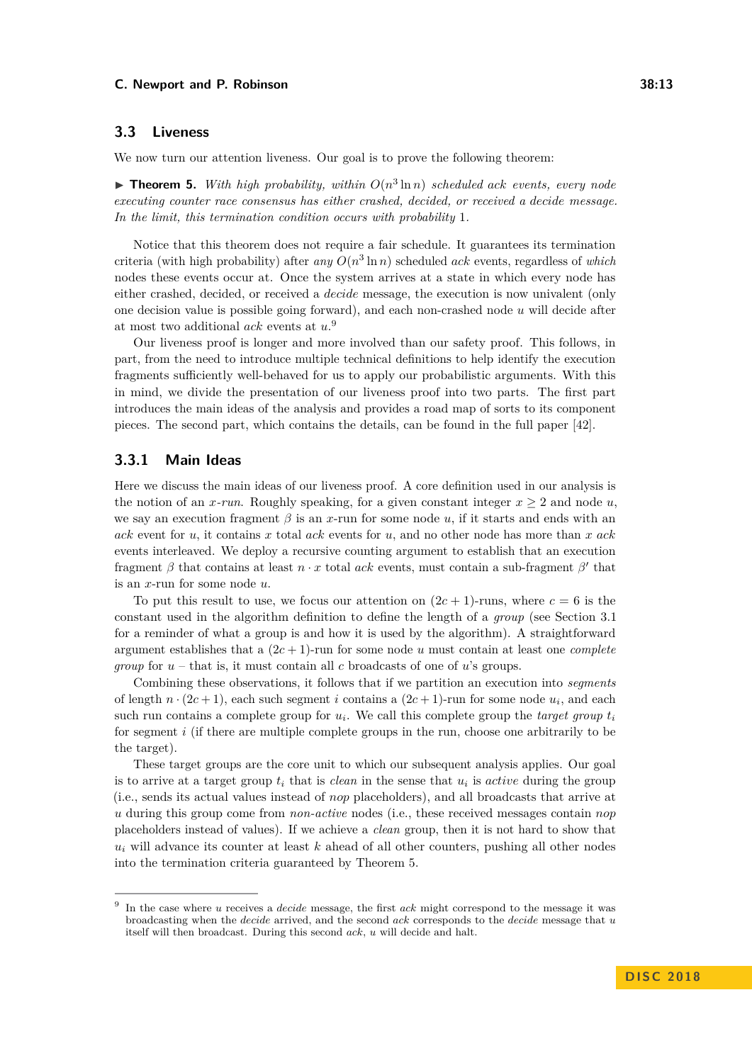# **3.3 Liveness**

We now turn our attention liveness. Our goal is to prove the following theorem:

<span id="page-12-1"></span> $\triangleright$  **Theorem 5.** With high probability, within  $O(n^3 \ln n)$  scheduled ack events, every node *executing counter race consensus has either crashed, decided, or received a decide message. In the limit, this termination condition occurs with probability* 1*.*

Notice that this theorem does not require a fair schedule. It guarantees its termination criteria (with high probability) after  $any O(n^3 \ln n)$  scheduled *ack* events, regardless of *which* nodes these events occur at. Once the system arrives at a state in which every node has either crashed, decided, or received a *decide* message, the execution is now univalent (only one decision value is possible going forward), and each non-crashed node *u* will decide after at most two additional *ack* events at *u*. [9](#page-12-0)

Our liveness proof is longer and more involved than our safety proof. This follows, in part, from the need to introduce multiple technical definitions to help identify the execution fragments sufficiently well-behaved for us to apply our probabilistic arguments. With this in mind, we divide the presentation of our liveness proof into two parts. The first part introduces the main ideas of the analysis and provides a road map of sorts to its component pieces. The second part, which contains the details, can be found in the full paper [\[42\]](#page-19-0).

## **3.3.1 Main Ideas**

Here we discuss the main ideas of our liveness proof. A core definition used in our analysis is the notion of an *x*-run. Roughly speaking, for a given constant integer  $x \geq 2$  and node *u*, we say an execution fragment *β* is an *x*-run for some node *u*, if it starts and ends with an *ack* event for *u*, it contains *x* total *ack* events for *u*, and no other node has more than *x ack* events interleaved. We deploy a recursive counting argument to establish that an execution fragment  $\beta$  that contains at least  $n \cdot x$  total *ack* events, must contain a sub-fragment  $\beta'$  that is an *x*-run for some node *u*.

To put this result to use, we focus our attention on  $(2c + 1)$ -runs, where  $c = 6$  is the constant used in the algorithm definition to define the length of a *group* (see Section [3.1](#page-7-1) for a reminder of what a group is and how it is used by the algorithm). A straightforward argument establishes that a  $(2c + 1)$ -run for some node *u* must contain at least one *complete group* for *u* – that is, it must contain all *c* broadcasts of one of *u*'s groups.

Combining these observations, it follows that if we partition an execution into *segments* of length  $n \cdot (2c + 1)$ , each such segment *i* contains a  $(2c + 1)$ -run for some node  $u_i$ , and each such run contains a complete group for  $u_i$ . We call this complete group the *target group*  $t_i$ for segment *i* (if there are multiple complete groups in the run, choose one arbitrarily to be the target).

These target groups are the core unit to which our subsequent analysis applies. Our goal is to arrive at a target group  $t_i$  that is *clean* in the sense that  $u_i$  is *active* during the group (i.e., sends its actual values instead of *nop* placeholders), and all broadcasts that arrive at *u* during this group come from *non-active* nodes (i.e., these received messages contain *nop* placeholders instead of values). If we achieve a *clean* group, then it is not hard to show that  $u_i$  will advance its counter at least  $k$  ahead of all other counters, pushing all other nodes into the termination criteria guaranteed by Theorem [5.](#page-12-1)

<span id="page-12-0"></span><sup>9</sup> In the case where *u* receives a *decide* message, the first *ack* might correspond to the message it was broadcasting when the *decide* arrived, and the second *ack* corresponds to the *decide* message that *u* itself will then broadcast. During this second *ack*, *u* will decide and halt.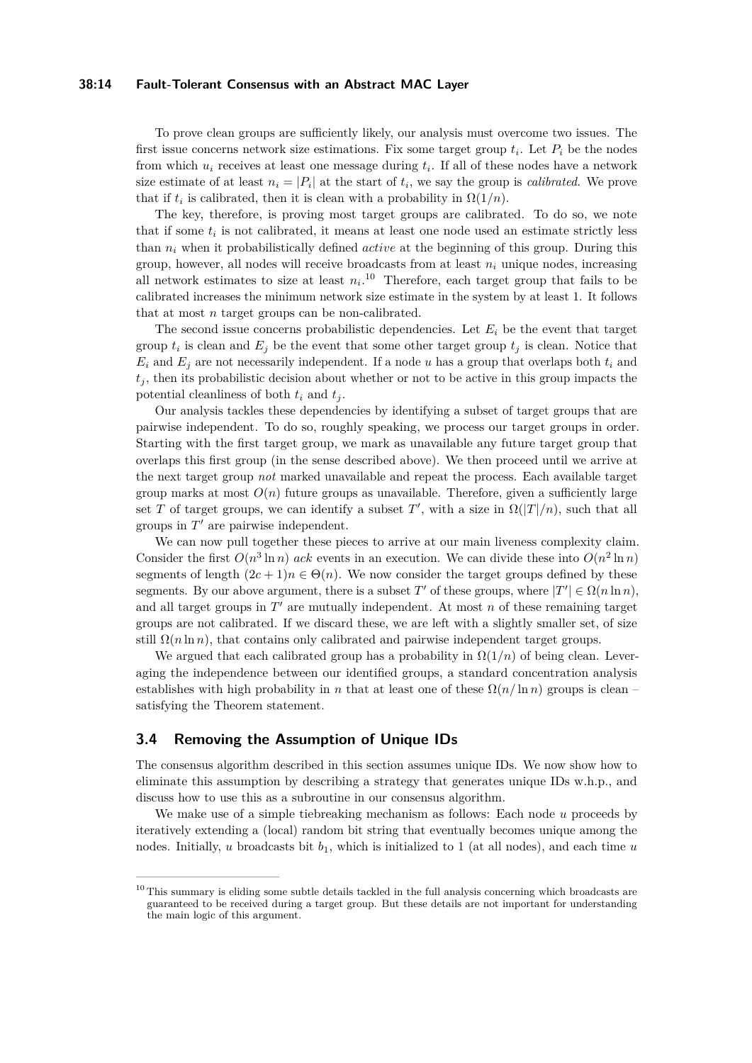#### **38:14 Fault-Tolerant Consensus with an Abstract MAC Layer**

To prove clean groups are sufficiently likely, our analysis must overcome two issues. The first issue concerns network size estimations. Fix some target group  $t_i$ . Let  $P_i$  be the nodes from which *u<sup>i</sup>* receives at least one message during *t<sup>i</sup>* . If all of these nodes have a network size estimate of at least  $n_i = |P_i|$  at the start of  $t_i$ , we say the group is *calibrated*. We prove that if  $t_i$  is calibrated, then it is clean with a probability in  $\Omega(1/n)$ .

The key, therefore, is proving most target groups are calibrated. To do so, we note that if some  $t_i$  is not calibrated, it means at least one node used an estimate strictly less than *n<sup>i</sup>* when it probabilistically defined *active* at the beginning of this group. During this group, however, all nodes will receive broadcasts from at least  $n_i$  unique nodes, increasing all network estimates to size at least  $n_i$ <sup>[10](#page-13-0)</sup> Therefore, each target group that fails to be calibrated increases the minimum network size estimate in the system by at least 1. It follows that at most *n* target groups can be non-calibrated.

The second issue concerns probabilistic dependencies. Let  $E_i$  be the event that target group  $t_i$  is clean and  $E_j$  be the event that some other target group  $t_j$  is clean. Notice that  $E_i$  and  $E_j$  are not necessarily independent. If a node *u* has a group that overlaps both  $t_i$  and  $t_i$ , then its probabilistic decision about whether or not to be active in this group impacts the potential cleanliness of both  $t_i$  and  $t_j$ .

Our analysis tackles these dependencies by identifying a subset of target groups that are pairwise independent. To do so, roughly speaking, we process our target groups in order. Starting with the first target group, we mark as unavailable any future target group that overlaps this first group (in the sense described above). We then proceed until we arrive at the next target group *not* marked unavailable and repeat the process. Each available target group marks at most  $O(n)$  future groups as unavailable. Therefore, given a sufficiently large set *T* of target groups, we can identify a subset *T'*, with a size in  $\Omega(|T|/n)$ , such that all groups in  $T'$  are pairwise independent.

We can now pull together these pieces to arrive at our main liveness complexity claim. Consider the first  $O(n^3 \ln n)$  *ack* events in an execution. We can divide these into  $O(n^2 \ln n)$ segments of length  $(2c + 1)n \in \Theta(n)$ . We now consider the target groups defined by these segments. By our above argument, there is a subset *T'* of these groups, where  $|T'| \in \Omega(n \ln n)$ , and all target groups in  $T'$  are mutually independent. At most  $n$  of these remaining target groups are not calibrated. If we discard these, we are left with a slightly smaller set, of size still  $\Omega(n \ln n)$ , that contains only calibrated and pairwise independent target groups.

We argued that each calibrated group has a probability in  $\Omega(1/n)$  of being clean. Leveraging the independence between our identified groups, a standard concentration analysis establishes with high probability in *n* that at least one of these  $\Omega(n/\ln n)$  groups is clean – satisfying the Theorem statement.

### **3.4 Removing the Assumption of Unique IDs**

The consensus algorithm described in this section assumes unique IDs. We now show how to eliminate this assumption by describing a strategy that generates unique IDs w.h.p., and discuss how to use this as a subroutine in our consensus algorithm.

We make use of a simple tiebreaking mechanism as follows: Each node *u* proceeds by iteratively extending a (local) random bit string that eventually becomes unique among the nodes. Initially, *u* broadcasts bit *b*1, which is initialized to 1 (at all nodes), and each time *u*

<span id="page-13-0"></span> $10$  This summary is eliding some subtle details tackled in the full analysis concerning which broadcasts are guaranteed to be received during a target group. But these details are not important for understanding the main logic of this argument.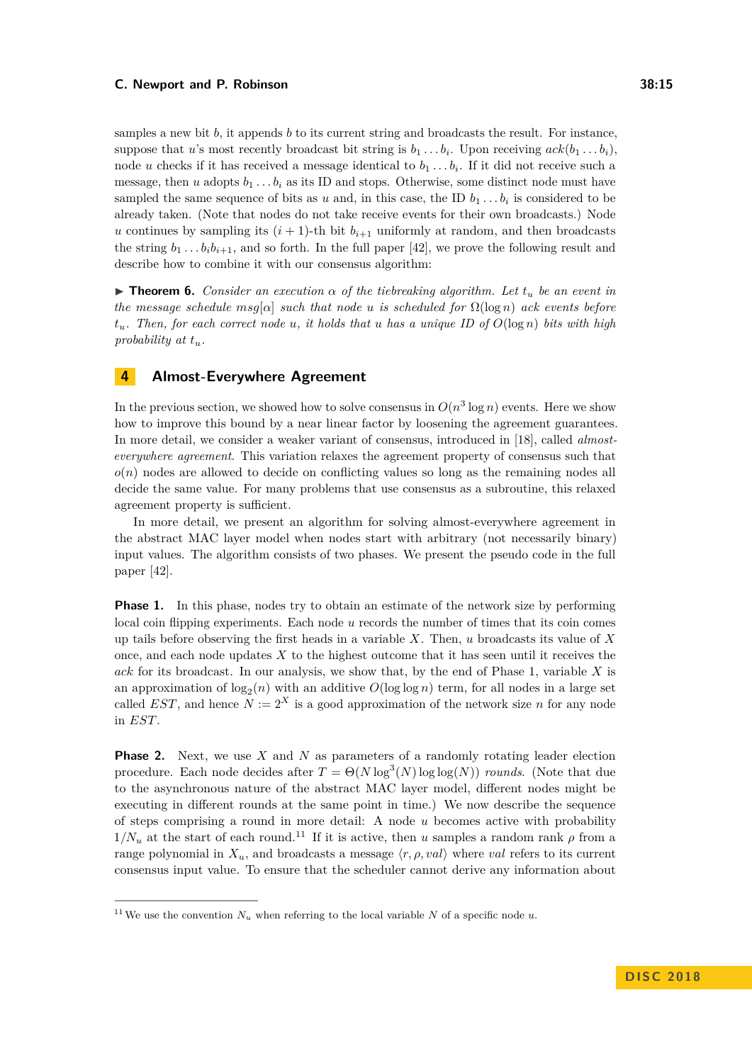samples a new bit *b*, it appends *b* to its current string and broadcasts the result. For instance, suppose that *u*'s most recently broadcast bit string is  $b_1 \ldots b_i$ . Upon receiving  $ack(b_1 \ldots b_i)$ , node *u* checks if it has received a message identical to  $b_1 \ldots b_i$ . If it did not receive such a message, then *u* adopts  $b_1 \ldots b_i$  as its ID and stops. Otherwise, some distinct node must have sampled the same sequence of bits as *u* and, in this case, the ID  $b_1 \ldots b_i$  is considered to be already taken. (Note that nodes do not take receive events for their own broadcasts.) Node *u* continues by sampling its  $(i + 1)$ -th bit  $b_{i+1}$  uniformly at random, and then broadcasts the string  $b_1 \tldots b_i b_{i+1}$ , and so forth. In the full paper [\[42\]](#page-19-0), we prove the following result and describe how to combine it with our consensus algorithm:

**Find 1. Consider an execution**  $\alpha$  of the tiebreaking algorithm. Let  $t_u$  be an event in *the message schedule*  $msg[\alpha]$  *such that node u is scheduled for*  $\Omega(\log n)$  *ack events before*  $t_u$ *. Then, for each correct node u, it holds that u has a unique ID of*  $O(\log n)$  *bits with high probability at tu.*

# <span id="page-14-0"></span>**4 Almost-Everywhere Agreement**

In the previous section, we showed how to solve consensus in  $O(n^3 \log n)$  events. Here we show how to improve this bound by a near linear factor by loosening the agreement guarantees. In more detail, we consider a weaker variant of consensus, introduced in [\[18\]](#page-17-7), called *almosteverywhere agreement*. This variation relaxes the agreement property of consensus such that  $o(n)$  nodes are allowed to decide on conflicting values so long as the remaining nodes all decide the same value. For many problems that use consensus as a subroutine, this relaxed agreement property is sufficient.

In more detail, we present an algorithm for solving almost-everywhere agreement in the abstract MAC layer model when nodes start with arbitrary (not necessarily binary) input values. The algorithm consists of two phases. We present the pseudo code in the full paper [\[42\]](#page-19-0).

**Phase 1.** In this phase, nodes try to obtain an estimate of the network size by performing local coin flipping experiments. Each node *u* records the number of times that its coin comes up tails before observing the first heads in a variable *X*. Then, *u* broadcasts its value of *X* once, and each node updates *X* to the highest outcome that it has seen until it receives the *ack* for its broadcast. In our analysis, we show that, by the end of Phase 1, variable *X* is an approximation of  $log_2(n)$  with an additive  $O(log \log n)$  term, for all nodes in a large set called *EST*, and hence  $N := 2^X$  is a good approximation of the network size *n* for any node in *EST*.

**Phase 2.** Next, we use *X* and *N* as parameters of a randomly rotating leader election procedure. Each node decides after  $T = \Theta(N \log^3(N) \log \log(N))$  *rounds*. (Note that due to the asynchronous nature of the abstract MAC layer model, different nodes might be executing in different rounds at the same point in time.) We now describe the sequence of steps comprising a round in more detail: A node *u* becomes active with probability  $1/N_u$  at the start of each round.<sup>[11](#page-14-1)</sup> If it is active, then *u* samples a random rank  $\rho$  from a range polynomial in  $X_u$ , and broadcasts a message  $\langle r, \rho, val \rangle$  where *val* refers to its current consensus input value. To ensure that the scheduler cannot derive any information about

<span id="page-14-1"></span><sup>&</sup>lt;sup>11</sup>We use the convention  $N_u$  when referring to the local variable *N* of a specific node *u*.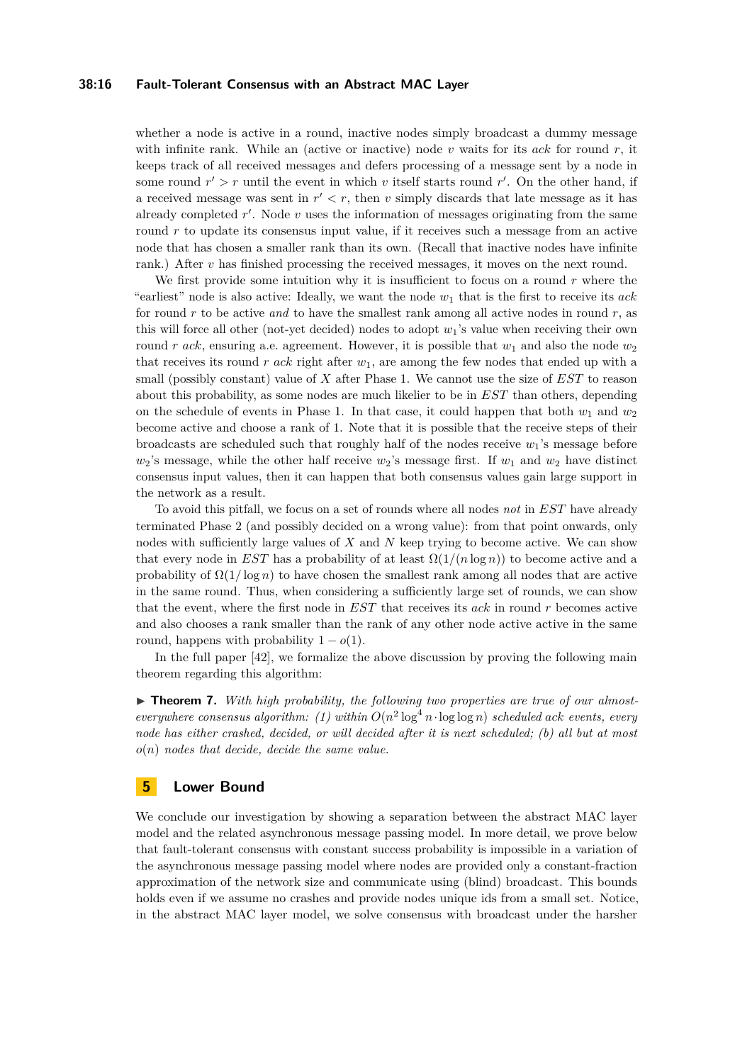#### **38:16 Fault-Tolerant Consensus with an Abstract MAC Layer**

whether a node is active in a round, inactive nodes simply broadcast a dummy message with infinite rank. While an (active or inactive) node *v* waits for its *ack* for round *r*, it keeps track of all received messages and defers processing of a message sent by a node in some round  $r' > r$  until the event in which *v* itself starts round  $r'$ . On the other hand, if a received message was sent in  $r' < r$ , then *v* simply discards that late message as it has already completed  $r'$ . Node  $v$  uses the information of messages originating from the same round r to update its consensus input value, if it receives such a message from an active node that has chosen a smaller rank than its own. (Recall that inactive nodes have infinite rank.) After *v* has finished processing the received messages, it moves on the next round.

We first provide some intuition why it is insufficient to focus on a round *r* where the "earliest" node is also active: Ideally, we want the node *w*<sup>1</sup> that is the first to receive its *ack* for round *r* to be active *and* to have the smallest rank among all active nodes in round *r*, as this will force all other (not-yet decided) nodes to adopt *w*1's value when receiving their own round *r ack*, ensuring a.e. agreement. However, it is possible that  $w_1$  and also the node  $w_2$ that receives its round *r ack* right after *w*1, are among the few nodes that ended up with a small (possibly constant) value of *X* after Phase 1. We cannot use the size of *EST* to reason about this probability, as some nodes are much likelier to be in *EST* than others, depending on the schedule of events in Phase 1. In that case, it could happen that both  $w_1$  and  $w_2$ become active and choose a rank of 1. Note that it is possible that the receive steps of their broadcasts are scheduled such that roughly half of the nodes receive *w*1's message before  $w_2$ 's message, while the other half receive  $w_2$ 's message first. If  $w_1$  and  $w_2$  have distinct consensus input values, then it can happen that both consensus values gain large support in the network as a result.

To avoid this pitfall, we focus on a set of rounds where all nodes *not* in *EST* have already terminated Phase 2 (and possibly decided on a wrong value): from that point onwards, only nodes with sufficiently large values of *X* and *N* keep trying to become active. We can show that every node in *EST* has a probability of at least  $\Omega(1/(n \log n))$  to become active and a probability of  $\Omega(1/\log n)$  to have chosen the smallest rank among all nodes that are active in the same round. Thus, when considering a sufficiently large set of rounds, we can show that the event, where the first node in *EST* that receives its *ack* in round *r* becomes active and also chooses a rank smaller than the rank of any other node active active in the same round, happens with probability  $1 - o(1)$ .

In the full paper [\[42\]](#page-19-0), we formalize the above discussion by proving the following main theorem regarding this algorithm:

▶ **Theorem 7.** With high probability, the following two properties are true of our almost*everywhere consensus algorithm:* (1) within  $O(n^2 \log^4 n \cdot \log \log n)$  *scheduled ack events, every node has either crashed, decided, or will decided after it is next scheduled; (b) all but at most o*(*n*) *nodes that decide, decide the same value.*

# <span id="page-15-0"></span>**5 Lower Bound**

We conclude our investigation by showing a separation between the abstract MAC layer model and the related asynchronous message passing model. In more detail, we prove below that fault-tolerant consensus with constant success probability is impossible in a variation of the asynchronous message passing model where nodes are provided only a constant-fraction approximation of the network size and communicate using (blind) broadcast. This bounds holds even if we assume no crashes and provide nodes unique ids from a small set. Notice, in the abstract MAC layer model, we solve consensus with broadcast under the harsher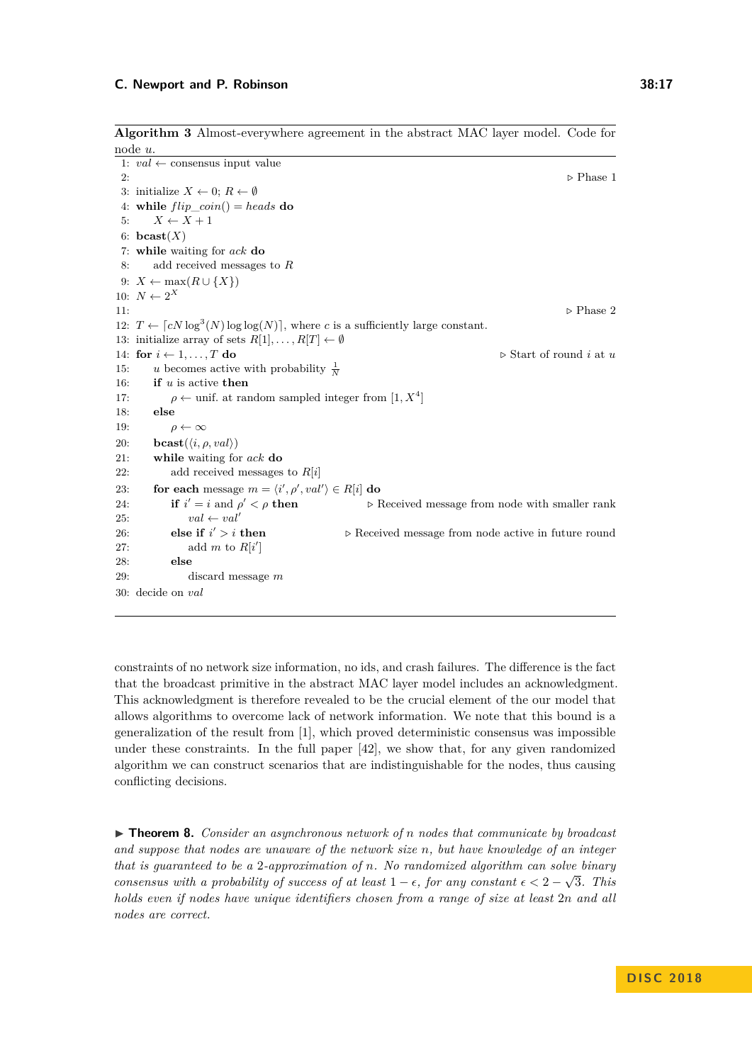**Algorithm 3** Almost-everywhere agreement in the abstract MAC layer model. Code for

```
node u.
 1: val \leftarrow consensus input value
 2: ... Phase 1
 3: initialize X \leftarrow 0; R \leftarrow \emptyset4: while flip\_coin() = heads do
 5: X \leftarrow X + 16: \textbf{bcast}(X)7: while waiting for ack do
 8: add received messages to R
 9: X \leftarrow \max(R \cup \{X\})10: N \leftarrow 2^X11: ... Phase 2
12: T \leftarrow \lceil cN \log^3(N) \log \log(N) \rceil, where c is a sufficiently large constant.
13: initialize array of sets R[1], \ldots, R[T] \leftarrow \emptyset14: for i \leftarrow 1, \ldots, T do \triangleright Start of round i at u
15: u becomes active with probability \frac{1}{N}16: if u is active then
17: \rho \leftarrow \text{unif. at random sampled integer from } [1, X^4]18: else
19: \rho \leftarrow \infty20: bcast(\langle i, \rho, val \rangle)21: while waiting for ack do
22: add received messages to R[i]
23: for each message m = \langle i', \rho', val' \rangle \in R[i] do
24: if i' = i and \rho▷ Received message from node with smaller rank
25: val \leftarrow val'26: else if i' > i then
                                          \triangleright Received message from node active in future round
27: add m to R[i']28: else
29: discard message m
30: decide on val
```
constraints of no network size information, no ids, and crash failures. The difference is the fact that the broadcast primitive in the abstract MAC layer model includes an acknowledgment. This acknowledgment is therefore revealed to be the crucial element of the our model that allows algorithms to overcome lack of network information. We note that this bound is a generalization of the result from [\[1\]](#page-17-18), which proved deterministic consensus was impossible under these constraints. In the full paper [\[42\]](#page-19-0), we show that, for any given randomized algorithm we can construct scenarios that are indistinguishable for the nodes, thus causing conflicting decisions.

▶ **Theorem 8.** *Consider an asynchronous network of n nodes that communicate by broadcast and suppose that nodes are unaware of the network size n, but have knowledge of an integer that is guaranteed to be a 2-approximation of n. No randomized algorithm can solve binary consensus with a probability of success of at least*  $1 - \epsilon$ , for any constant  $\epsilon < 2 - \sqrt{3}$ . This *holds even if nodes have unique identifiers chosen from a range of size at least* 2*n and all nodes are correct.*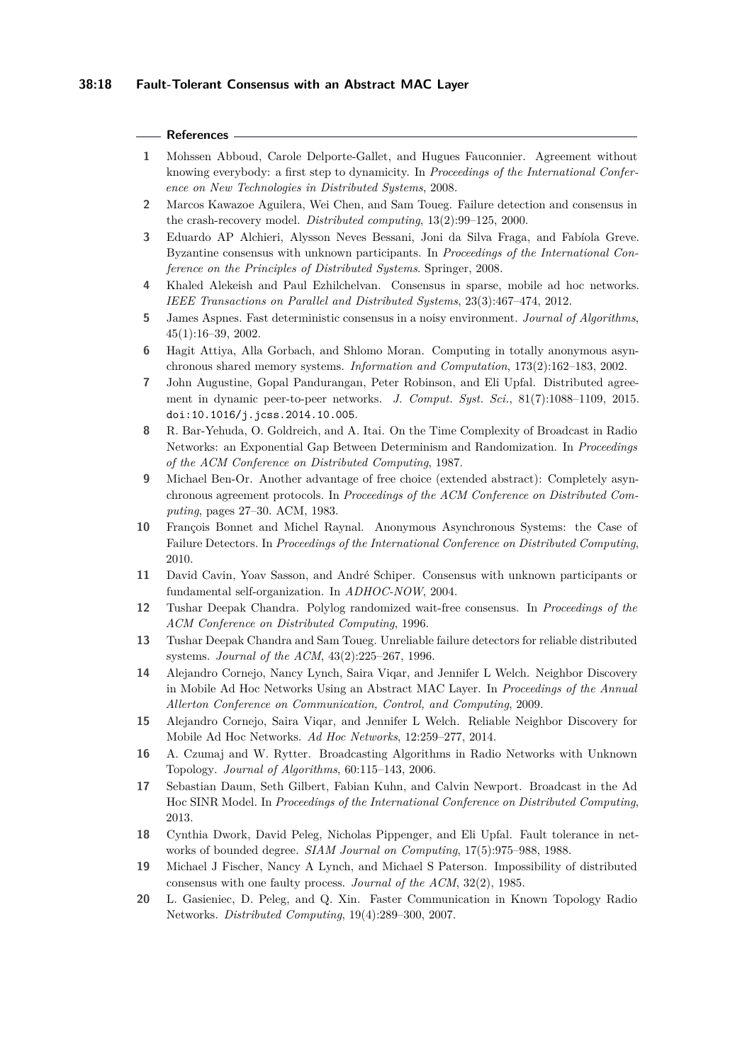#### **References**

- <span id="page-17-18"></span>**1** Mohssen Abboud, Carole Delporte-Gallet, and Hugues Fauconnier. Agreement without knowing everybody: a first step to dynamicity. In *Proceedings of the International Conference on New Technologies in Distributed Systems*, 2008.
- <span id="page-17-8"></span>**2** Marcos Kawazoe Aguilera, Wei Chen, and Sam Toueg. Failure detection and consensus in the crash-recovery model. *Distributed computing*, 13(2):99–125, 2000.
- <span id="page-17-16"></span>**3** Eduardo AP Alchieri, Alysson Neves Bessani, Joni da Silva Fraga, and Fabíola Greve. Byzantine consensus with unknown participants. In *Proceedings of the International Conference on the Principles of Distributed Systems*. Springer, 2008.
- <span id="page-17-12"></span>**4** Khaled Alekeish and Paul Ezhilchelvan. Consensus in sparse, mobile ad hoc networks. *IEEE Transactions on Parallel and Distributed Systems*, 23(3):467–474, 2012.
- <span id="page-17-5"></span>**5** James Aspnes. Fast deterministic consensus in a noisy environment. *Journal of Algorithms*, 45(1):16–39, 2002.
- <span id="page-17-15"></span>**6** Hagit Attiya, Alla Gorbach, and Shlomo Moran. Computing in totally anonymous asynchronous shared memory systems. *Information and Computation*, 173(2):162–183, 2002.
- <span id="page-17-19"></span>**7** John Augustine, Gopal Pandurangan, Peter Robinson, and Eli Upfal. Distributed agreement in dynamic peer-to-peer networks. *J. Comput. Syst. Sci.*, 81(7):1088–1109, 2015. [doi:10.1016/j.jcss.2014.10.005](http://dx.doi.org/10.1016/j.jcss.2014.10.005).
- <span id="page-17-0"></span>**8** R. Bar-Yehuda, O. Goldreich, and A. Itai. On the Time Complexity of Broadcast in Radio Networks: an Exponential Gap Between Determinism and Randomization. In *Proceedings of the ACM Conference on Distributed Computing*, 1987.
- <span id="page-17-4"></span>**9** Michael Ben-Or. Another advantage of free choice (extended abstract): Completely asynchronous agreement protocols. In *Proceedings of the ACM Conference on Distributed Computing*, pages 27–30. ACM, 1983.
- <span id="page-17-14"></span>**10** François Bonnet and Michel Raynal. Anonymous Asynchronous Systems: the Case of Failure Detectors. In *Proceedings of the International Conference on Distributed Computing*, 2010.
- <span id="page-17-17"></span>**11** David Cavin, Yoav Sasson, and André Schiper. Consensus with unknown participants or fundamental self-organization. In *ADHOC-NOW*, 2004.
- <span id="page-17-6"></span>**12** Tushar Deepak Chandra. Polylog randomized wait-free consensus. In *Proceedings of the ACM Conference on Distributed Computing*, 1996.
- <span id="page-17-13"></span>**13** Tushar Deepak Chandra and Sam Toueg. Unreliable failure detectors for reliable distributed systems. *Journal of the ACM*, 43(2):225–267, 1996.
- <span id="page-17-9"></span>**14** Alejandro Cornejo, Nancy Lynch, Saira Viqar, and Jennifer L Welch. Neighbor Discovery in Mobile Ad Hoc Networks Using an Abstract MAC Layer. In *Proceedings of the Annual Allerton Conference on Communication, Control, and Computing*, 2009.
- <span id="page-17-10"></span>**15** Alejandro Cornejo, Saira Viqar, and Jennifer L Welch. Reliable Neighbor Discovery for Mobile Ad Hoc Networks. *Ad Hoc Networks*, 12:259–277, 2014.
- <span id="page-17-1"></span>**16** A. Czumaj and W. Rytter. Broadcasting Algorithms in Radio Networks with Unknown Topology. *Journal of Algorithms*, 60:115–143, 2006.
- <span id="page-17-3"></span>**17** Sebastian Daum, Seth Gilbert, Fabian Kuhn, and Calvin Newport. Broadcast in the Ad Hoc SINR Model. In *Proceedings of the International Conference on Distributed Computing*, 2013.
- <span id="page-17-7"></span>**18** Cynthia Dwork, David Peleg, Nicholas Pippenger, and Eli Upfal. Fault tolerance in networks of bounded degree. *SIAM Journal on Computing*, 17(5):975–988, 1988.
- <span id="page-17-11"></span>**19** Michael J Fischer, Nancy A Lynch, and Michael S Paterson. Impossibility of distributed consensus with one faulty process. *Journal of the ACM*, 32(2), 1985.
- <span id="page-17-2"></span>**20** L. Gasieniec, D. Peleg, and Q. Xin. Faster Communication in Known Topology Radio Networks. *Distributed Computing*, 19(4):289–300, 2007.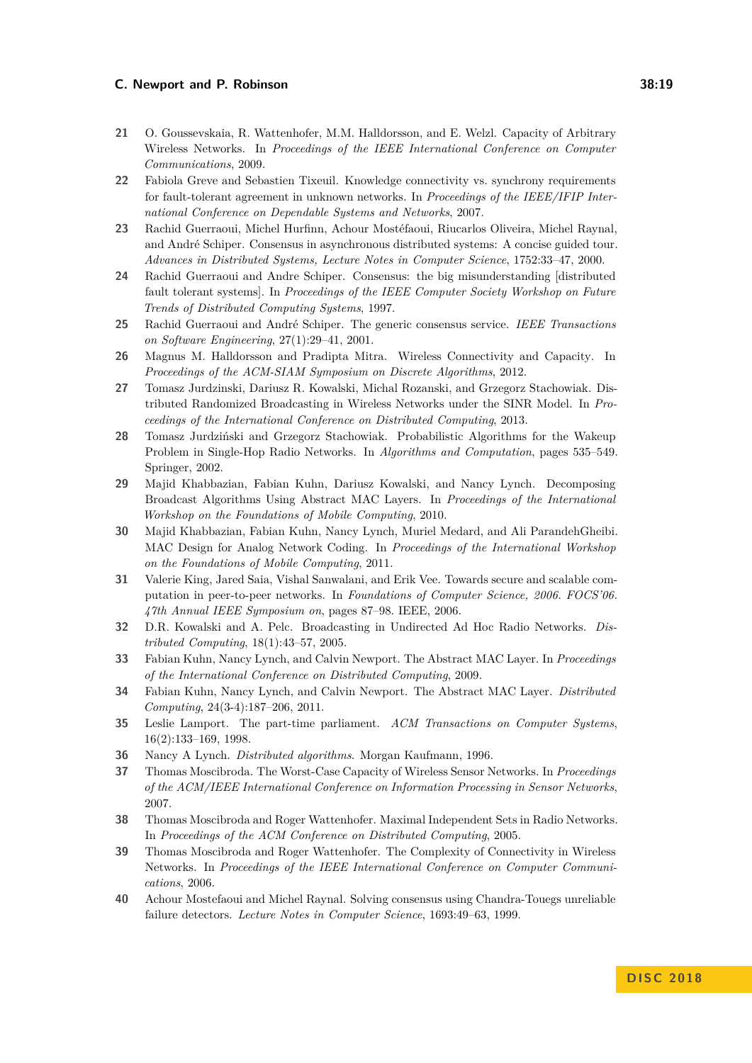- <span id="page-18-6"></span>**21** O. Goussevskaia, R. Wattenhofer, M.M. Halldorsson, and E. Welzl. Capacity of Arbitrary Wireless Networks. In *Proceedings of the IEEE International Conference on Computer Communications*, 2009.
- <span id="page-18-17"></span>**22** Fabiola Greve and Sebastien Tixeuil. Knowledge connectivity vs. synchrony requirements for fault-tolerant agreement in unknown networks. In *Proceedings of the IEEE/IFIP International Conference on Dependable Systems and Networks*, 2007.
- <span id="page-18-0"></span>**23** Rachid Guerraoui, Michel Hurfinn, Achour Mostéfaoui, Riucarlos Oliveira, Michel Raynal, and André Schiper. Consensus in asynchronous distributed systems: A concise guided tour. *Advances in Distributed Systems, Lecture Notes in Computer Science*, 1752:33–47, 2000.
- **24** Rachid Guerraoui and Andre Schiper. Consensus: the big misunderstanding [distributed fault tolerant systems]. In *Proceedings of the IEEE Computer Society Workshop on Future Trends of Distributed Computing Systems*, 1997.
- <span id="page-18-1"></span>**25** Rachid Guerraoui and André Schiper. The generic consensus service. *IEEE Transactions on Software Engineering*, 27(1):29–41, 2001.
- <span id="page-18-7"></span>**26** Magnus M. Halldorsson and Pradipta Mitra. Wireless Connectivity and Capacity. In *Proceedings of the ACM-SIAM Symposium on Discrete Algorithms*, 2012.
- <span id="page-18-8"></span>**27** Tomasz Jurdzinski, Dariusz R. Kowalski, Michal Rozanski, and Grzegorz Stachowiak. Distributed Randomized Broadcasting in Wireless Networks under the SINR Model. In *Proceedings of the International Conference on Distributed Computing*, 2013.
- <span id="page-18-3"></span>**28** Tomasz Jurdziński and Grzegorz Stachowiak. Probabilistic Algorithms for the Wakeup Problem in Single-Hop Radio Networks. In *Algorithms and Computation*, pages 535–549. Springer, 2002.
- <span id="page-18-15"></span>**29** Majid Khabbazian, Fabian Kuhn, Dariusz Kowalski, and Nancy Lynch. Decomposing Broadcast Algorithms Using Abstract MAC Layers. In *Proceedings of the International Workshop on the Foundations of Mobile Computing*, 2010.
- <span id="page-18-16"></span>**30** Majid Khabbazian, Fabian Kuhn, Nancy Lynch, Muriel Medard, and Ali ParandehGheibi. MAC Design for Analog Network Coding. In *Proceedings of the International Workshop on the Foundations of Mobile Computing*, 2011.
- <span id="page-18-18"></span>**31** Valerie King, Jared Saia, Vishal Sanwalani, and Erik Vee. Towards secure and scalable computation in peer-to-peer networks. In *Foundations of Computer Science, 2006. FOCS'06. 47th Annual IEEE Symposium on*, pages 87–98. IEEE, 2006.
- <span id="page-18-4"></span>**32** D.R. Kowalski and A. Pelc. Broadcasting in Undirected Ad Hoc Radio Networks. *Distributed Computing*, 18(1):43–57, 2005.
- <span id="page-18-14"></span>**33** Fabian Kuhn, Nancy Lynch, and Calvin Newport. The Abstract MAC Layer. In *Proceedings of the International Conference on Distributed Computing*, 2009.
- <span id="page-18-11"></span>**34** Fabian Kuhn, Nancy Lynch, and Calvin Newport. The Abstract MAC Layer. *Distributed Computing*, 24(3-4):187–206, 2011.
- <span id="page-18-12"></span>**35** Leslie Lamport. The part-time parliament. *ACM Transactions on Computer Systems*, 16(2):133–169, 1998.
- <span id="page-18-2"></span>**36** Nancy A Lynch. *Distributed algorithms*. Morgan Kaufmann, 1996.
- <span id="page-18-9"></span>**37** Thomas Moscibroda. The Worst-Case Capacity of Wireless Sensor Networks. In *Proceedings of the ACM/IEEE International Conference on Information Processing in Sensor Networks*, 2007.
- <span id="page-18-5"></span>**38** Thomas Moscibroda and Roger Wattenhofer. Maximal Independent Sets in Radio Networks. In *Proceedings of the ACM Conference on Distributed Computing*, 2005.
- <span id="page-18-10"></span>**39** Thomas Moscibroda and Roger Wattenhofer. The Complexity of Connectivity in Wireless Networks. In *Proceedings of the IEEE International Conference on Computer Communications*, 2006.
- <span id="page-18-13"></span>**40** Achour Mostefaoui and Michel Raynal. Solving consensus using Chandra-Touegs unreliable failure detectors. *Lecture Notes in Computer Science*, 1693:49–63, 1999.